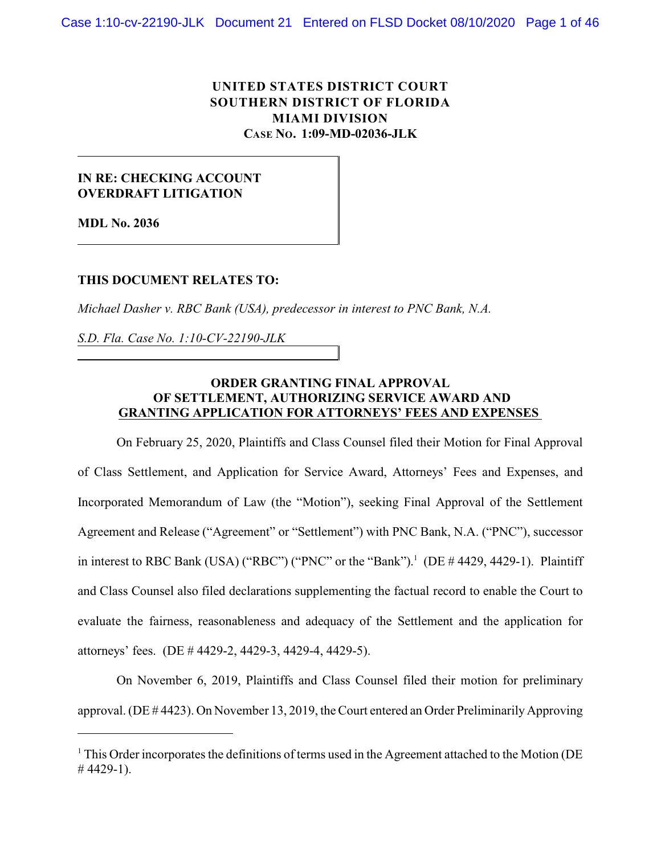# **UNITED STATES DISTRICT COURT SOUTHERN DISTRICT OF FLORIDA MIAMI DIVISION CASE NO. 1:09-MD-02036-JLK**

## **IN RE: CHECKING ACCOUNT OVERDRAFT LITIGATION**

**MDL No. 2036**

### **THIS DOCUMENT RELATES TO:**

*Michael Dasher v. RBC Bank (USA), predecessor in interest to PNC Bank, N.A.*

*S.D. Fla. Case No. 1:10-CV-22190-JLK*

## **ORDER GRANTING FINAL APPROVAL OF SETTLEMENT, AUTHORIZING SERVICE AWARD AND GRANTING APPLICATION FOR ATTORNEYS' FEES AND EXPENSES**

On February 25, 2020, Plaintiffs and Class Counsel filed their Motion for Final Approval of Class Settlement, and Application for Service Award, Attorneys' Fees and Expenses, and Incorporated Memorandum of Law (the "Motion"), seeking Final Approval of the Settlement Agreement and Release ("Agreement" or "Settlement") with PNC Bank, N.A. ("PNC"), successor in interest to RBC Bank (USA) ("RBC") ("PNC" or the "Bank").<sup>1</sup> (DE  $\#$  4429, 4429-1). Plaintiff and Class Counsel also filed declarations supplementing the factual record to enable the Court to evaluate the fairness, reasonableness and adequacy of the Settlement and the application for attorneys' fees. (DE # 4429-2, 4429-3, 4429-4, 4429-5).

On November 6, 2019, Plaintiffs and Class Counsel filed their motion for preliminary approval. (DE # 4423). On November 13, 2019, the Court entered an Order Preliminarily Approving

 $<sup>1</sup>$  This Order incorporates the definitions of terms used in the Agreement attached to the Motion (DE</sup>  $\#$  4429-1).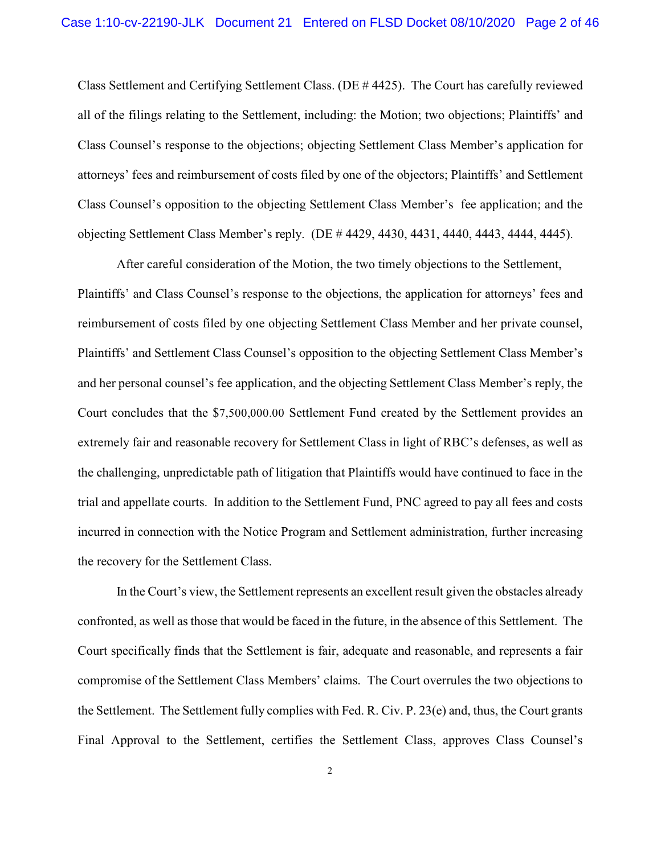Class Settlement and Certifying Settlement Class. (DE # 4425). The Court has carefully reviewed all of the filings relating to the Settlement, including: the Motion; two objections; Plaintiffs' and Class Counsel's response to the objections; objecting Settlement Class Member's application for attorneys' fees and reimbursement of costs filed by one of the objectors; Plaintiffs' and Settlement Class Counsel's opposition to the objecting Settlement Class Member's fee application; and the objecting Settlement Class Member's reply. (DE # 4429, 4430, 4431, 4440, 4443, 4444, 4445).

After careful consideration of the Motion, the two timely objections to the Settlement, Plaintiffs' and Class Counsel's response to the objections, the application for attorneys' fees and reimbursement of costs filed by one objecting Settlement Class Member and her private counsel, Plaintiffs' and Settlement Class Counsel's opposition to the objecting Settlement Class Member's and her personal counsel's fee application, and the objecting Settlement Class Member's reply, the Court concludes that the \$7,500,000.00 Settlement Fund created by the Settlement provides an extremely fair and reasonable recovery for Settlement Class in light of RBC's defenses, as well as the challenging, unpredictable path of litigation that Plaintiffs would have continued to face in the trial and appellate courts. In addition to the Settlement Fund, PNC agreed to pay all fees and costs incurred in connection with the Notice Program and Settlement administration, further increasing the recovery for the Settlement Class.

In the Court's view, the Settlement represents an excellent result given the obstacles already confronted, as well as those that would be faced in the future, in the absence of this Settlement. The Court specifically finds that the Settlement is fair, adequate and reasonable, and represents a fair compromise of the Settlement Class Members' claims. The Court overrules the two objections to the Settlement. The Settlement fully complies with Fed. R. Civ. P. 23(e) and, thus, the Court grants Final Approval to the Settlement, certifies the Settlement Class, approves Class Counsel's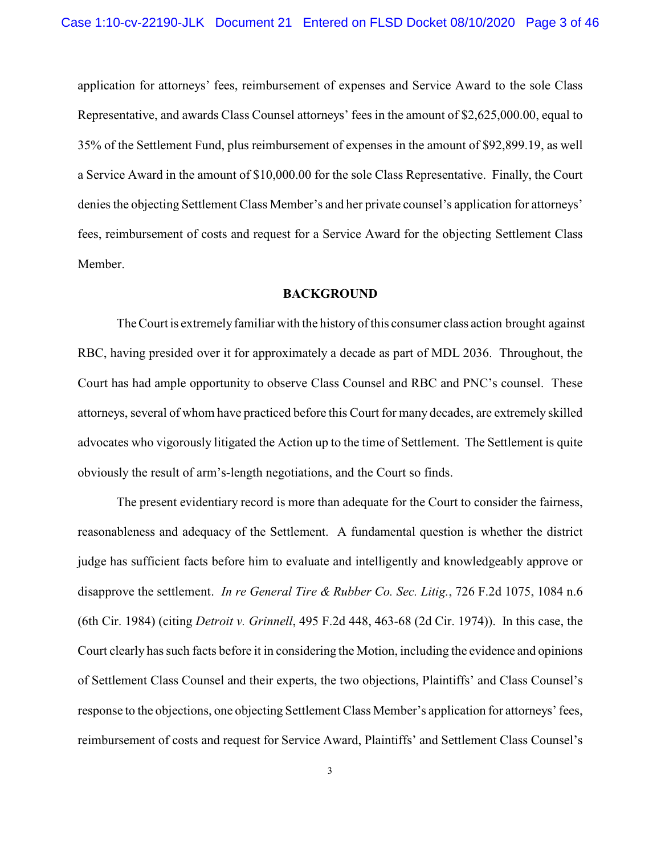application for attorneys' fees, reimbursement of expenses and Service Award to the sole Class Representative, and awards Class Counsel attorneys' fees in the amount of \$2,625,000.00, equal to 35% of the Settlement Fund, plus reimbursement of expenses in the amount of \$92,899.19, as well a Service Award in the amount of \$10,000.00 for the sole Class Representative. Finally, the Court denies the objecting Settlement Class Member's and her private counsel's application for attorneys' fees, reimbursement of costs and request for a Service Award for the objecting Settlement Class Member.

### **BACKGROUND**

The Court is extremely familiar with the history ofthis consumer class action brought against RBC, having presided over it for approximately a decade as part of MDL 2036. Throughout, the Court has had ample opportunity to observe Class Counsel and RBC and PNC's counsel. These attorneys, several of whom have practiced before this Court for many decades, are extremely skilled advocates who vigorously litigated the Action up to the time of Settlement. The Settlement is quite obviously the result of arm's-length negotiations, and the Court so finds.

The present evidentiary record is more than adequate for the Court to consider the fairness, reasonableness and adequacy of the Settlement. A fundamental question is whether the district judge has sufficient facts before him to evaluate and intelligently and knowledgeably approve or disapprove the settlement. *In re General Tire & Rubber Co. Sec. Litig.*, 726 F.2d 1075, 1084 n.6 (6th Cir. 1984) (citing *Detroit v. Grinnell*, 495 F.2d 448, 463-68 (2d Cir. 1974)). In this case, the Court clearly has such facts before it in considering the Motion, including the evidence and opinions of Settlement Class Counsel and their experts, the two objections, Plaintiffs' and Class Counsel's response to the objections, one objecting Settlement Class Member's application for attorneys' fees, reimbursement of costs and request for Service Award, Plaintiffs' and Settlement Class Counsel's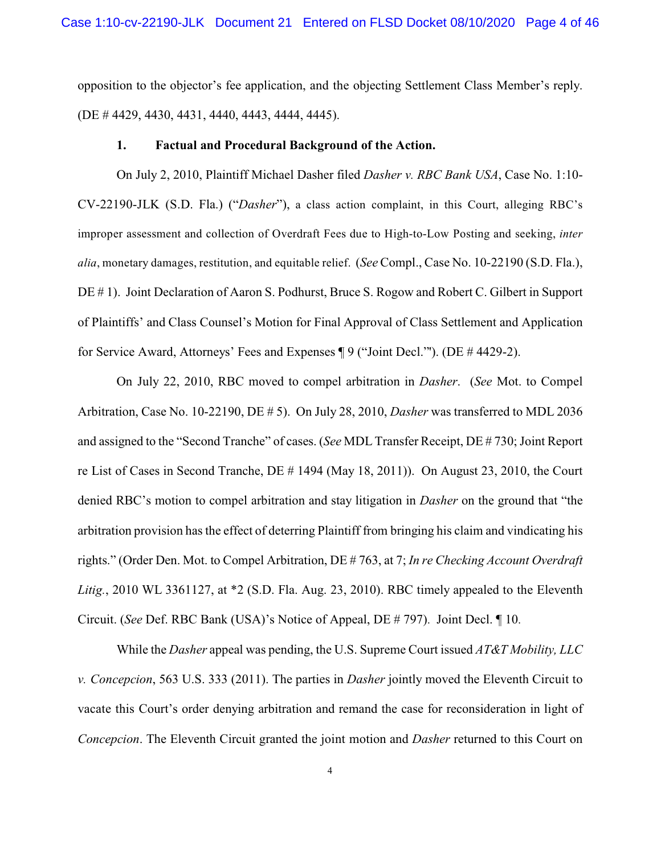opposition to the objector's fee application, and the objecting Settlement Class Member's reply. (DE # 4429, 4430, 4431, 4440, 4443, 4444, 4445).

#### **1. Factual and Procedural Background of the Action.**

On July 2, 2010, Plaintiff Michael Dasher filed *Dasher v. RBC Bank USA*, Case No. 1:10- CV-22190-JLK (S.D. Fla.) ("*Dasher*"), a class action complaint, in this Court, alleging RBC's improper assessment and collection of Overdraft Fees due to High-to-Low Posting and seeking, *inter alia*, monetary damages, restitution, and equitable relief. (*See* Compl., Case No. 10-22190 (S.D. Fla.), DE # 1). Joint Declaration of Aaron S. Podhurst, Bruce S. Rogow and Robert C. Gilbert in Support of Plaintiffs' and Class Counsel's Motion for Final Approval of Class Settlement and Application for Service Award, Attorneys' Fees and Expenses ¶ 9 ("Joint Decl."'). (DE # 4429-2).

On July 22, 2010, RBC moved to compel arbitration in *Dasher*. (*See* Mot. to Compel Arbitration, Case No. 10-22190, DE # 5). On July 28, 2010, *Dasher* was transferred to MDL 2036 and assigned to the "Second Tranche" of cases. (*See* MDL Transfer Receipt, DE # 730; Joint Report re List of Cases in Second Tranche, DE # 1494 (May 18, 2011)). On August 23, 2010, the Court denied RBC's motion to compel arbitration and stay litigation in *Dasher* on the ground that "the arbitration provision has the effect of deterring Plaintiff from bringing his claim and vindicating his rights." (Order Den. Mot. to Compel Arbitration, DE # 763, at 7; *In re Checking Account Overdraft Litig.*, 2010 WL 3361127, at \*2 (S.D. Fla. Aug. 23, 2010). RBC timely appealed to the Eleventh Circuit. (*See* Def. RBC Bank (USA)'s Notice of Appeal, DE # 797). Joint Decl. ¶ 10.

While the *Dasher* appeal was pending, the U.S. Supreme Court issued *AT&T Mobility, LLC v. Concepcion*, 563 U.S. 333 (2011). The parties in *Dasher* jointly moved the Eleventh Circuit to vacate this Court's order denying arbitration and remand the case for reconsideration in light of *Concepcion*. The Eleventh Circuit granted the joint motion and *Dasher* returned to this Court on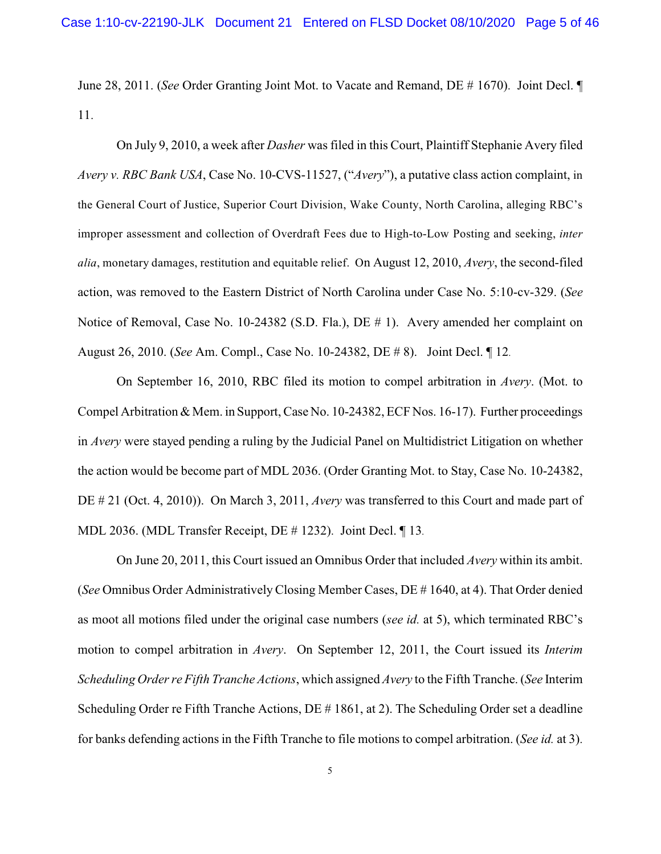June 28, 2011. (*See* Order Granting Joint Mot. to Vacate and Remand, DE # 1670). Joint Decl. ¶ 11.

On July 9, 2010, a week after *Dasher* was filed in this Court, Plaintiff Stephanie Avery filed *Avery v. RBC Bank USA*, Case No. 10-CVS-11527, ("*Avery*"), a putative class action complaint, in the General Court of Justice, Superior Court Division, Wake County, North Carolina, alleging RBC's improper assessment and collection of Overdraft Fees due to High-to-Low Posting and seeking, *inter alia*, monetary damages, restitution and equitable relief. On August 12, 2010, *Avery*, the second-filed action, was removed to the Eastern District of North Carolina under Case No. 5:10-cv-329. (*See* Notice of Removal, Case No. 10-24382 (S.D. Fla.), DE # 1). Avery amended her complaint on August 26, 2010. (*See* Am. Compl., Case No. 10-24382, DE # 8). Joint Decl. ¶ 12.

On September 16, 2010, RBC filed its motion to compel arbitration in *Avery*. (Mot. to Compel Arbitration & Mem. in Support, Case No. 10-24382, ECF Nos. 16-17). Further proceedings in *Avery* were stayed pending a ruling by the Judicial Panel on Multidistrict Litigation on whether the action would be become part of MDL 2036. (Order Granting Mot. to Stay, Case No. 10-24382, DE # 21 (Oct. 4, 2010)). On March 3, 2011, *Avery* was transferred to this Court and made part of MDL 2036. (MDL Transfer Receipt, DE # 1232). Joint Decl. ¶ 13.

On June 20, 2011, this Court issued an Omnibus Order that included *Avery* within its ambit. (*See* Omnibus Order Administratively Closing Member Cases, DE # 1640, at 4). That Order denied as moot all motions filed under the original case numbers (*see id.* at 5), which terminated RBC's motion to compel arbitration in *Avery*. On September 12, 2011, the Court issued its *Interim Scheduling Order re Fifth Tranche Actions*, which assigned *Avery* to the Fifth Tranche. (*See* Interim Scheduling Order re Fifth Tranche Actions, DE # 1861, at 2). The Scheduling Order set a deadline for banks defending actions in the Fifth Tranche to file motions to compel arbitration. (*See id.* at 3).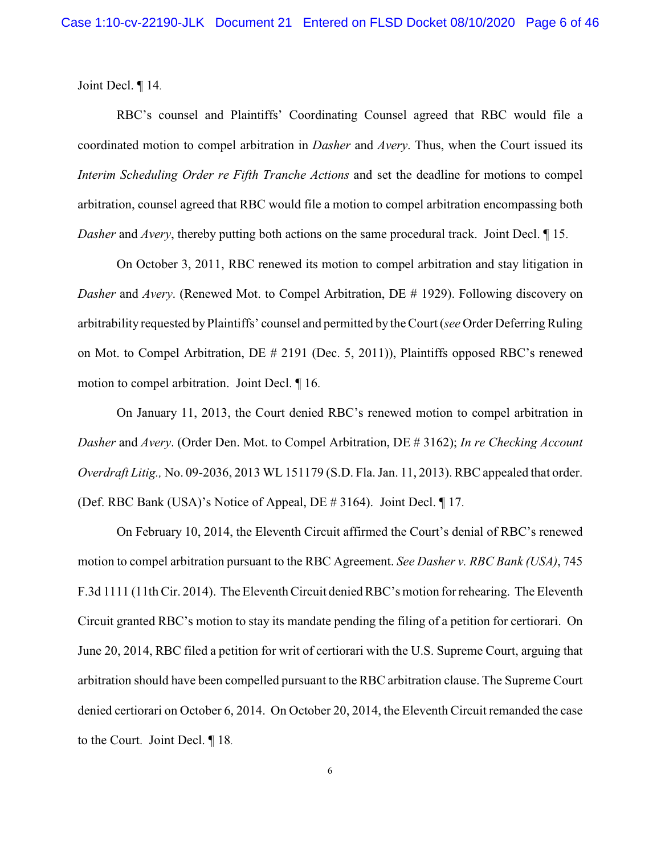Joint Decl. ¶ 14.

RBC's counsel and Plaintiffs' Coordinating Counsel agreed that RBC would file a coordinated motion to compel arbitration in *Dasher* and *Avery*. Thus, when the Court issued its *Interim Scheduling Order re Fifth Tranche Actions* and set the deadline for motions to compel arbitration, counsel agreed that RBC would file a motion to compel arbitration encompassing both *Dasher* and *Avery*, thereby putting both actions on the same procedural track. Joint Decl. ¶ 15.

On October 3, 2011, RBC renewed its motion to compel arbitration and stay litigation in *Dasher* and *Avery*. (Renewed Mot. to Compel Arbitration, DE # 1929). Following discovery on arbitrability requested by Plaintiffs' counsel and permitted by the Court (*see* Order Deferring Ruling on Mot. to Compel Arbitration, DE # 2191 (Dec. 5, 2011)), Plaintiffs opposed RBC's renewed motion to compel arbitration. Joint Decl. ¶ 16.

On January 11, 2013, the Court denied RBC's renewed motion to compel arbitration in *Dasher* and *Avery*. (Order Den. Mot. to Compel Arbitration, DE # 3162); *In re Checking Account Overdraft Litig.,* No. 09-2036, 2013 WL 151179 (S.D. Fla. Jan. 11, 2013). RBC appealed that order. (Def. RBC Bank (USA)'s Notice of Appeal, DE # 3164). Joint Decl. ¶ 17.

On February 10, 2014, the Eleventh Circuit affirmed the Court's denial of RBC's renewed motion to compel arbitration pursuant to the RBC Agreement. *See Dasher v. RBC Bank (USA)*, 745 F.3d 1111 (11th Cir. 2014). The Eleventh Circuit denied RBC's motion for rehearing. The Eleventh Circuit granted RBC's motion to stay its mandate pending the filing of a petition for certiorari. On June 20, 2014, RBC filed a petition for writ of certiorari with the U.S. Supreme Court, arguing that arbitration should have been compelled pursuant to the RBC arbitration clause. The Supreme Court denied certiorari on October 6, 2014. On October 20, 2014, the Eleventh Circuit remanded the case to the Court. Joint Decl. ¶ 18.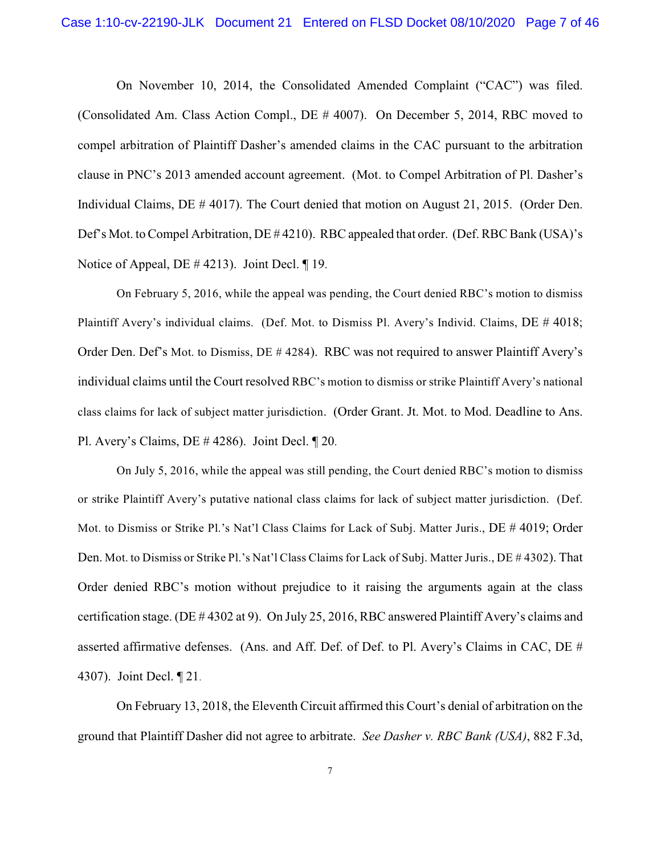On November 10, 2014, the Consolidated Amended Complaint ("CAC") was filed. (Consolidated Am. Class Action Compl., DE # 4007). On December 5, 2014, RBC moved to compel arbitration of Plaintiff Dasher's amended claims in the CAC pursuant to the arbitration clause in PNC's 2013 amended account agreement. (Mot. to Compel Arbitration of Pl. Dasher's Individual Claims, DE # 4017). The Court denied that motion on August 21, 2015. (Order Den. Def's Mot. to Compel Arbitration, DE #4210). RBC appealed that order. (Def. RBC Bank (USA)'s Notice of Appeal, DE # 4213). Joint Decl. ¶ 19.

On February 5, 2016, while the appeal was pending, the Court denied RBC's motion to dismiss Plaintiff Avery's individual claims. (Def. Mot. to Dismiss Pl. Avery's Individ. Claims, DE # 4018; Order Den. Def's Mot. to Dismiss, DE # 4284). RBC was not required to answer Plaintiff Avery's individual claims until the Court resolved RBC's motion to dismiss or strike Plaintiff Avery's national class claims for lack of subject matter jurisdiction. (Order Grant. Jt. Mot. to Mod. Deadline to Ans. Pl. Avery's Claims, DE # 4286). Joint Decl. ¶ 20.

On July 5, 2016, while the appeal was still pending, the Court denied RBC's motion to dismiss or strike Plaintiff Avery's putative national class claims for lack of subject matter jurisdiction. (Def. Mot. to Dismiss or Strike Pl.'s Nat'l Class Claims for Lack of Subj. Matter Juris., DE # 4019; Order Den. Mot. to Dismiss or Strike Pl.'s Nat'l Class Claims for Lack of Subj. Matter Juris., DE # 4302). That Order denied RBC's motion without prejudice to it raising the arguments again at the class certification stage. (DE # 4302 at 9). On July 25, 2016, RBC answered Plaintiff Avery's claims and asserted affirmative defenses. (Ans. and Aff. Def. of Def. to Pl. Avery's Claims in CAC, DE # 4307). Joint Decl. ¶ 21.

On February 13, 2018, the Eleventh Circuit affirmed this Court's denial of arbitration on the ground that Plaintiff Dasher did not agree to arbitrate. *See Dasher v. RBC Bank (USA)*, 882 F.3d,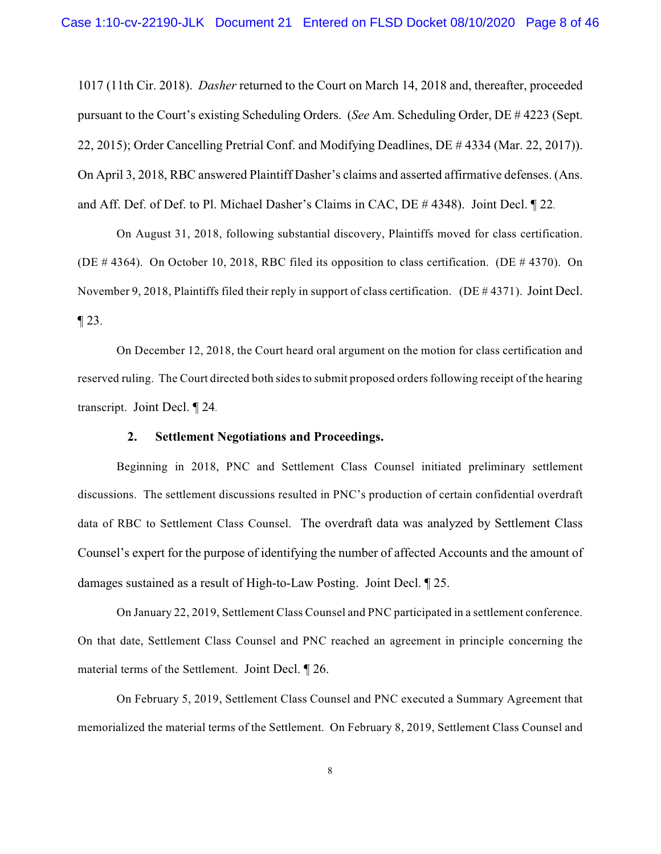1017 (11th Cir. 2018). *Dasher* returned to the Court on March 14, 2018 and, thereafter, proceeded pursuant to the Court's existing Scheduling Orders. (*See* Am. Scheduling Order, DE # 4223 (Sept. 22, 2015); Order Cancelling Pretrial Conf. and Modifying Deadlines, DE # 4334 (Mar. 22, 2017)). On April 3, 2018, RBC answered Plaintiff Dasher's claims and asserted affirmative defenses. (Ans. and Aff. Def. of Def. to Pl. Michael Dasher's Claims in CAC, DE # 4348). Joint Decl. ¶ 22.

On August 31, 2018, following substantial discovery, Plaintiffs moved for class certification. (DE # 4364). On October 10, 2018, RBC filed its opposition to class certification. (DE # 4370). On November 9, 2018, Plaintiffs filed their reply in support of class certification. (DE # 4371). Joint Decl.  $\P$  23.

On December 12, 2018, the Court heard oral argument on the motion for class certification and reserved ruling. The Court directed both sides to submit proposed orders following receipt of the hearing transcript. Joint Decl. ¶ 24.

### **2. Settlement Negotiations and Proceedings.**

Beginning in 2018, PNC and Settlement Class Counsel initiated preliminary settlement discussions. The settlement discussions resulted in PNC's production of certain confidential overdraft data of RBC to Settlement Class Counsel. The overdraft data was analyzed by Settlement Class Counsel's expert for the purpose of identifying the number of affected Accounts and the amount of damages sustained as a result of High-to-Law Posting. Joint Decl. ¶ 25.

On January 22, 2019, Settlement Class Counsel and PNC participated in a settlement conference. On that date, Settlement Class Counsel and PNC reached an agreement in principle concerning the material terms of the Settlement. Joint Decl. ¶ 26.

On February 5, 2019, Settlement Class Counsel and PNC executed a Summary Agreement that memorialized the material terms of the Settlement. On February 8, 2019, Settlement Class Counsel and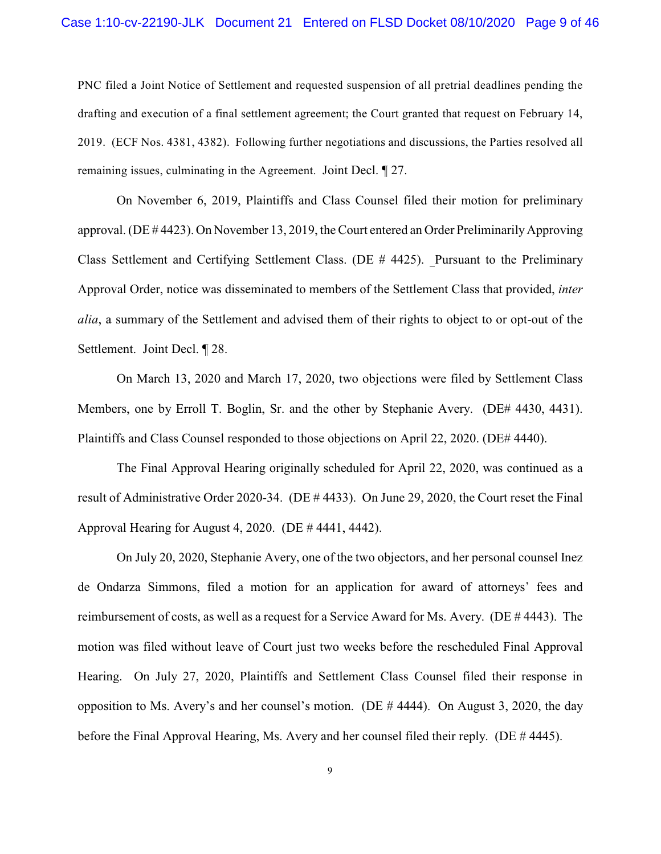### Case 1:10-cv-22190-JLK Document 21 Entered on FLSD Docket 08/10/2020 Page 9 of 46

PNC filed a Joint Notice of Settlement and requested suspension of all pretrial deadlines pending the drafting and execution of a final settlement agreement; the Court granted that request on February 14, 2019. (ECF Nos. 4381, 4382). Following further negotiations and discussions, the Parties resolved all remaining issues, culminating in the Agreement. Joint Decl. ¶ 27.

On November 6, 2019, Plaintiffs and Class Counsel filed their motion for preliminary approval. (DE # 4423). On November 13, 2019, the Court entered an Order Preliminarily Approving Class Settlement and Certifying Settlement Class. (DE # 4425). Pursuant to the Preliminary Approval Order, notice was disseminated to members of the Settlement Class that provided, *inter alia*, a summary of the Settlement and advised them of their rights to object to or opt-out of the Settlement. Joint Decl. ¶ 28.

On March 13, 2020 and March 17, 2020, two objections were filed by Settlement Class Members, one by Erroll T. Boglin, Sr. and the other by Stephanie Avery. (DE# 4430, 4431). Plaintiffs and Class Counsel responded to those objections on April 22, 2020. (DE# 4440).

The Final Approval Hearing originally scheduled for April 22, 2020, was continued as a result of Administrative Order 2020-34. (DE # 4433). On June 29, 2020, the Court reset the Final Approval Hearing for August 4, 2020. (DE # 4441, 4442).

On July 20, 2020, Stephanie Avery, one of the two objectors, and her personal counsel Inez de Ondarza Simmons, filed a motion for an application for award of attorneys' fees and reimbursement of costs, as well as a request for a Service Award for Ms. Avery. (DE # 4443). The motion was filed without leave of Court just two weeks before the rescheduled Final Approval Hearing. On July 27, 2020, Plaintiffs and Settlement Class Counsel filed their response in opposition to Ms. Avery's and her counsel's motion. (DE # 4444). On August 3, 2020, the day before the Final Approval Hearing, Ms. Avery and her counsel filed their reply. (DE # 4445).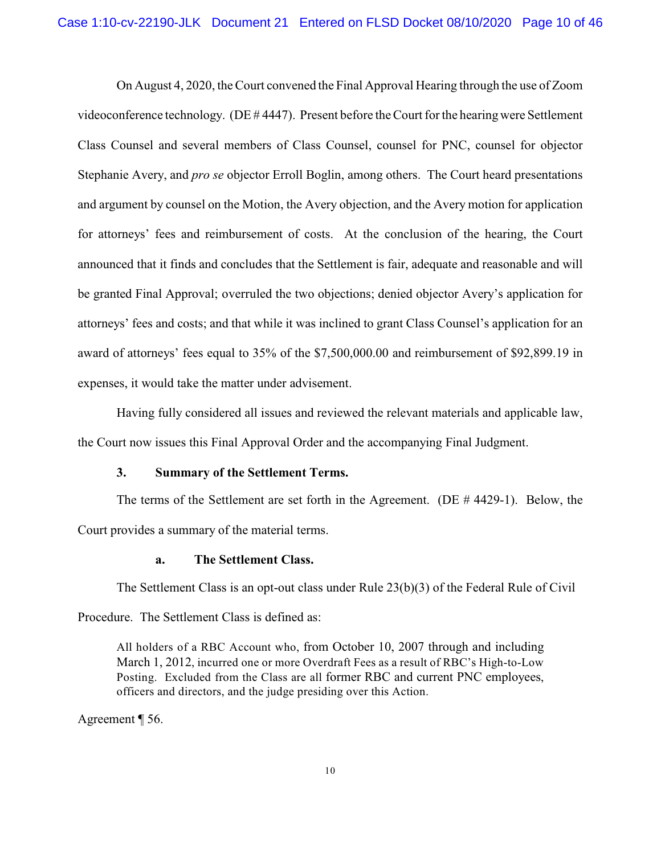On August 4, 2020, theCourt convened the Final Approval Hearing through the use of Zoom videoconference technology. (DE # 4447). Present before the Court for the hearing were Settlement Class Counsel and several members of Class Counsel, counsel for PNC, counsel for objector Stephanie Avery, and *pro se* objector Erroll Boglin, among others. The Court heard presentations and argument by counsel on the Motion, the Avery objection, and the Avery motion for application for attorneys' fees and reimbursement of costs. At the conclusion of the hearing, the Court announced that it finds and concludes that the Settlement is fair, adequate and reasonable and will be granted Final Approval; overruled the two objections; denied objector Avery's application for attorneys' fees and costs; and that while it was inclined to grant Class Counsel's application for an award of attorneys' fees equal to 35% of the \$7,500,000.00 and reimbursement of \$92,899.19 in expenses, it would take the matter under advisement.

Having fully considered all issues and reviewed the relevant materials and applicable law, the Court now issues this Final Approval Order and the accompanying Final Judgment.

### **3. Summary of the Settlement Terms.**

The terms of the Settlement are set forth in the Agreement. (DE # 4429-1). Below, the Court provides a summary of the material terms.

## **a. The Settlement Class.**

The Settlement Class is an opt-out class under Rule 23(b)(3) of the Federal Rule of Civil

Procedure. The Settlement Class is defined as:

All holders of a RBC Account who, from October 10, 2007 through and including March 1, 2012, incurred one or more Overdraft Fees as a result of RBC's High-to-Low Posting. Excluded from the Class are all former RBC and current PNC employees, officers and directors, and the judge presiding over this Action.

Agreement ¶ 56.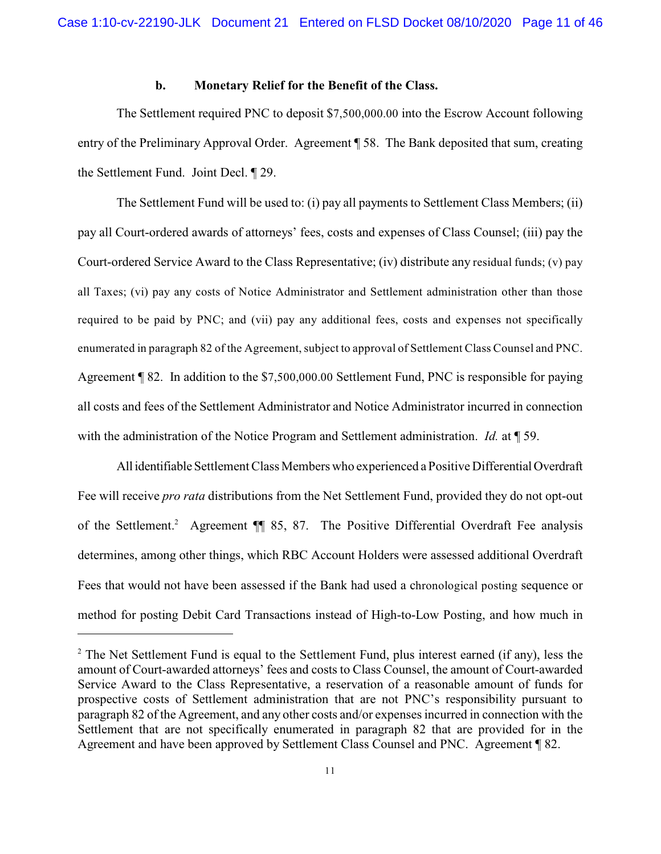### **b. Monetary Relief for the Benefit of the Class.**

The Settlement required PNC to deposit \$7,500,000.00 into the Escrow Account following entry of the Preliminary Approval Order. Agreement ¶ 58. The Bank deposited that sum, creating the Settlement Fund. Joint Decl. ¶ 29.

The Settlement Fund will be used to: (i) pay all payments to Settlement Class Members; (ii) pay all Court-ordered awards of attorneys' fees, costs and expenses of Class Counsel; (iii) pay the Court-ordered Service Award to the Class Representative; (iv) distribute any residual funds; (v) pay all Taxes; (vi) pay any costs of Notice Administrator and Settlement administration other than those required to be paid by PNC; and (vii) pay any additional fees, costs and expenses not specifically enumerated in paragraph 82 of the Agreement, subject to approval of Settlement Class Counsel and PNC. Agreement ¶ 82. In addition to the \$7,500,000.00 Settlement Fund, PNC is responsible for paying all costs and fees of the Settlement Administrator and Notice Administrator incurred in connection with the administration of the Notice Program and Settlement administration. *Id.* at ¶ 59.

All identifiable Settlement Class Members who experienced a Positive Differential Overdraft Fee will receive *pro rata* distributions from the Net Settlement Fund, provided they do not opt-out of the Settlement.<sup>2</sup> Agreement ¶ 85, 87. The Positive Differential Overdraft Fee analysis determines, among other things, which RBC Account Holders were assessed additional Overdraft Fees that would not have been assessed if the Bank had used a chronological posting sequence or method for posting Debit Card Transactions instead of High-to-Low Posting, and how much in

 $2^{\circ}$  The Net Settlement Fund is equal to the Settlement Fund, plus interest earned (if any), less the amount of Court-awarded attorneys' fees and costs to Class Counsel, the amount of Court-awarded Service Award to the Class Representative, a reservation of a reasonable amount of funds for prospective costs of Settlement administration that are not PNC's responsibility pursuant to paragraph 82 of the Agreement, and any other costs and/or expenses incurred in connection with the Settlement that are not specifically enumerated in paragraph 82 that are provided for in the Agreement and have been approved by Settlement Class Counsel and PNC. Agreement ¶ 82.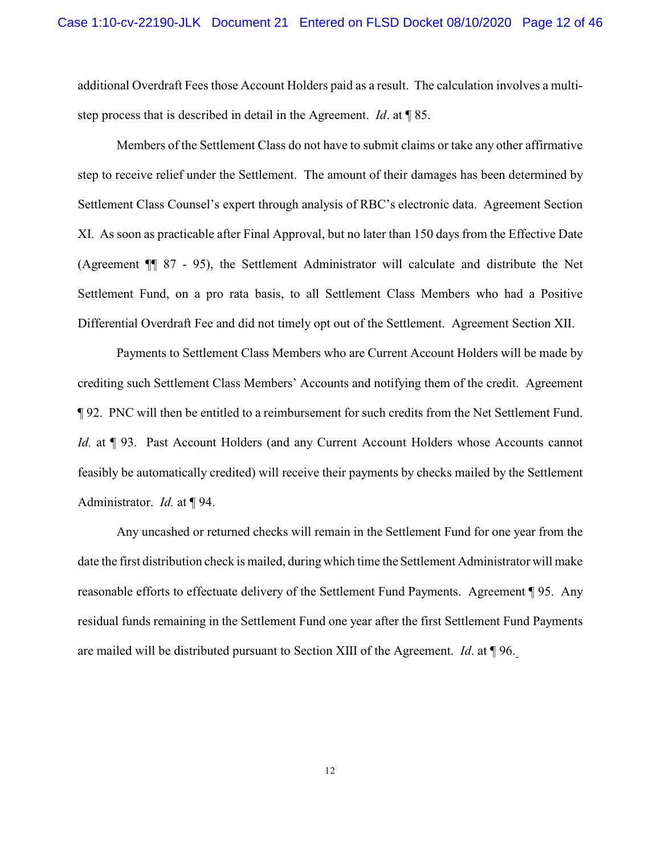additional Overdraft Fees those Account Holders paid as a result. The calculation involves a multistep process that is described in detail in the Agreement. *Id*. at ¶ 85.

Members of the Settlement Class do not have to submit claims or take any other affirmative step to receive relief under the Settlement. The amount of their damages has been determined by Settlement Class Counsel's expert through analysis of RBC's electronic data. Agreement Section XI. As soon as practicable after Final Approval, but no later than 150 days from the Effective Date (Agreement ¶¶ 87 - 95), the Settlement Administrator will calculate and distribute the Net Settlement Fund, on a pro rata basis, to all Settlement Class Members who had a Positive Differential Overdraft Fee and did not timely opt out of the Settlement. Agreement Section XII.

Payments to Settlement Class Members who are Current Account Holders will be made by crediting such Settlement Class Members' Accounts and notifying them of the credit. Agreement ¶ 92. PNC will then be entitled to a reimbursement for such credits from the Net Settlement Fund. *Id.* at ¶ 93. Past Account Holders (and any Current Account Holders whose Accounts cannot feasibly be automatically credited) will receive their payments by checks mailed by the Settlement Administrator. *Id.* at ¶ 94.

Any uncashed or returned checks will remain in the Settlement Fund for one year from the date the first distribution check is mailed, during which time the Settlement Administrator will make reasonable efforts to effectuate delivery of the Settlement Fund Payments. Agreement ¶ 95. Any residual funds remaining in the Settlement Fund one year after the first Settlement Fund Payments are mailed will be distributed pursuant to Section XIII of the Agreement. *Id*. at ¶ 96.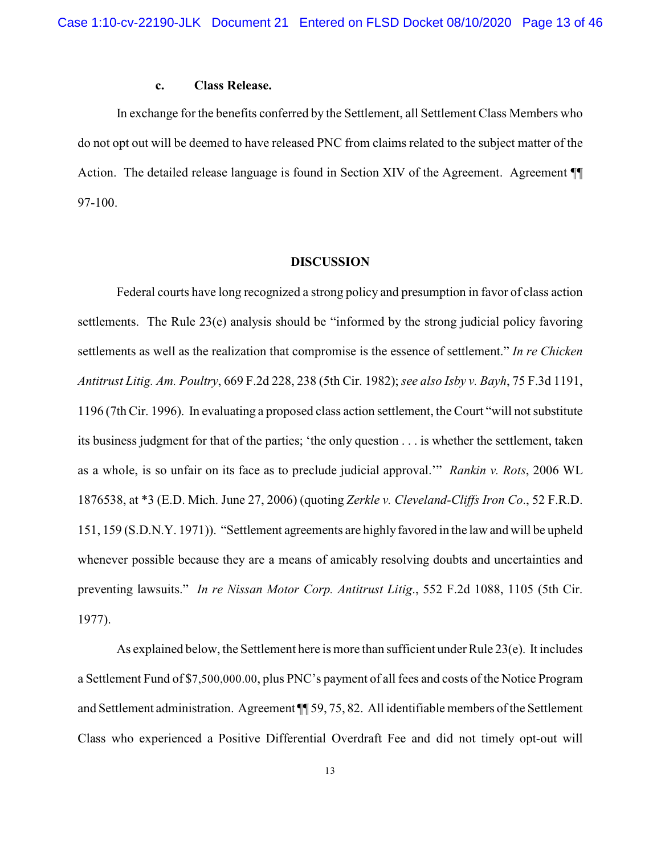### **c. Class Release.**

In exchange for the benefits conferred by the Settlement, all Settlement Class Members who do not opt out will be deemed to have released PNC from claims related to the subject matter of the Action. The detailed release language is found in Section XIV of the Agreement. Agreement ¶¶ 97-100.

#### **DISCUSSION**

Federal courts have long recognized a strong policy and presumption in favor of class action settlements. The Rule 23(e) analysis should be "informed by the strong judicial policy favoring settlements as well as the realization that compromise is the essence of settlement." *In re Chicken Antitrust Litig. Am. Poultry*, 669 F.2d 228, 238 (5th Cir. 1982); *see also Isby v. Bayh*, 75 F.3d 1191, 1196 (7th Cir. 1996). In evaluating a proposed class action settlement, the Court "will not substitute its business judgment for that of the parties; 'the only question . . . is whether the settlement, taken as a whole, is so unfair on its face as to preclude judicial approval.'" *Rankin v. Rots*, 2006 WL 1876538, at \*3 (E.D. Mich. June 27, 2006) (quoting *Zerkle v. Cleveland-Cliffs Iron Co*., 52 F.R.D. 151, 159 (S.D.N.Y. 1971)). "Settlement agreements are highlyfavored in the law and will be upheld whenever possible because they are a means of amicably resolving doubts and uncertainties and preventing lawsuits." *In re Nissan Motor Corp. Antitrust Litig*., 552 F.2d 1088, 1105 (5th Cir. 1977).

As explained below, the Settlement here is more than sufficient under Rule  $23(e)$ . It includes a Settlement Fund of \$7,500,000.00, plus PNC's payment of all fees and costs of the Notice Program and Settlement administration. Agreement ¶¶ 59, 75, 82. All identifiable members of the Settlement Class who experienced a Positive Differential Overdraft Fee and did not timely opt-out will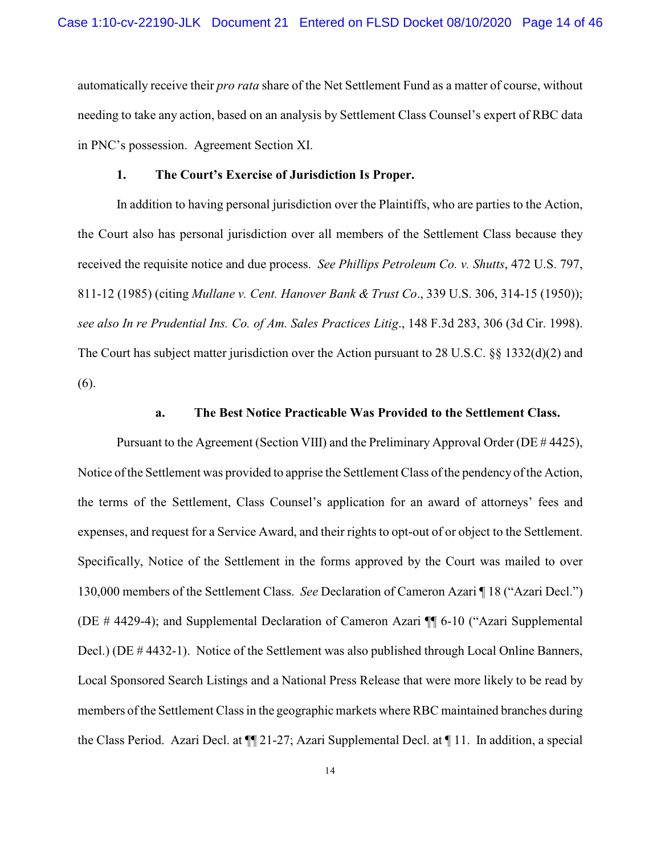automatically receive their *pro rata* share of the Net Settlement Fund as a matter of course, without needing to take any action, based on an analysis by Settlement Class Counsel's expert of RBC data in PNC's possession. Agreement Section XI.

### **1. The Court's Exercise of Jurisdiction Is Proper.**

In addition to having personal jurisdiction over the Plaintiffs, who are parties to the Action, the Court also has personal jurisdiction over all members of the Settlement Class because they received the requisite notice and due process. *See Phillips Petroleum Co. v. Shutts*, 472 U.S. 797, 811-12 (1985) (citing *Mullane v. Cent. Hanover Bank & Trust Co*., 339 U.S. 306, 314-15 (1950)); *see also In re Prudential Ins. Co. of Am. Sales Practices Litig*., 148 F.3d 283, 306 (3d Cir. 1998). The Court has subject matter jurisdiction over the Action pursuant to 28 U.S.C. §§ 1332(d)(2) and (6).

#### **a. The Best Notice Practicable Was Provided to the Settlement Class.**

Pursuant to the Agreement (Section VIII) and the Preliminary Approval Order (DE # 4425), Notice of the Settlement was provided to apprise the Settlement Class of the pendency of the Action, the terms of the Settlement, Class Counsel's application for an award of attorneys' fees and expenses, and request for a Service Award, and their rights to opt-out of or object to the Settlement. Specifically, Notice of the Settlement in the forms approved by the Court was mailed to over 130,000 members of the Settlement Class. *See* Declaration of Cameron Azari ¶ 18 ("Azari Decl.") (DE # 4429-4); and Supplemental Declaration of Cameron Azari ¶¶ 6-10 ("Azari Supplemental Decl.) (DE # 4432-1). Notice of the Settlement was also published through Local Online Banners, Local Sponsored Search Listings and a National Press Release that were more likely to be read by members of the Settlement Class in the geographic markets where RBC maintained branches during the Class Period. Azari Decl. at ¶¶ 21-27; Azari Supplemental Decl. at ¶ 11. In addition, a special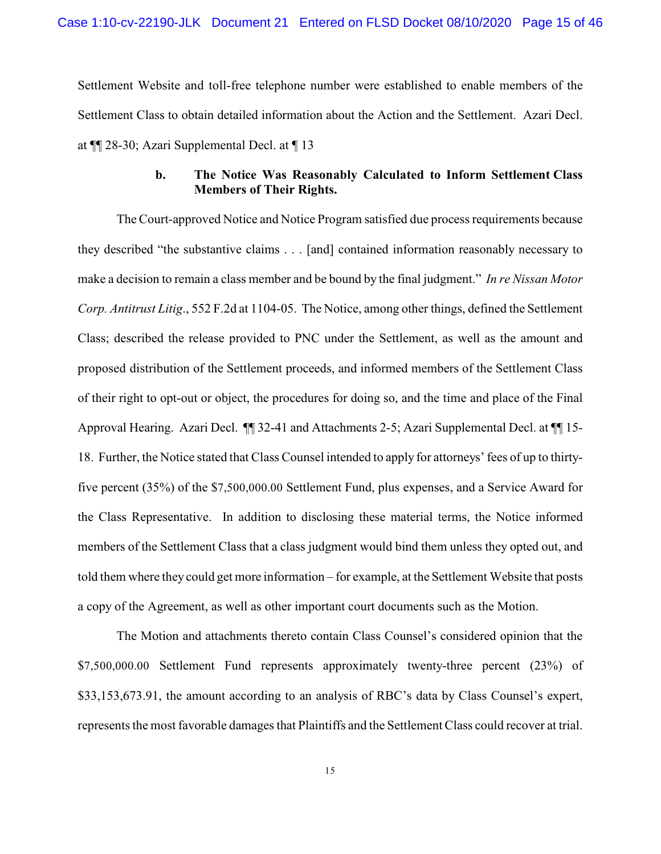Settlement Website and toll-free telephone number were established to enable members of the Settlement Class to obtain detailed information about the Action and the Settlement. Azari Decl. at ¶¶ 28-30; Azari Supplemental Decl. at ¶ 13

## **b. The Notice Was Reasonably Calculated to Inform Settlement Class Members of Their Rights.**

The Court-approved Notice and Notice Program satisfied due process requirements because they described "the substantive claims . . . [and] contained information reasonably necessary to make a decision to remain a class member and be bound by the final judgment." *In re Nissan Motor Corp. Antitrust Litig*., 552 F.2d at 1104-05. The Notice, among other things, defined the Settlement Class; described the release provided to PNC under the Settlement, as well as the amount and proposed distribution of the Settlement proceeds, and informed members of the Settlement Class of their right to opt-out or object, the procedures for doing so, and the time and place of the Final Approval Hearing. Azari Decl. ¶¶ 32-41 and Attachments 2-5; Azari Supplemental Decl. at ¶¶ 15- 18. Further, the Notice stated that Class Counsel intended to apply for attorneys' fees of up to thirtyfive percent (35%) of the \$7,500,000.00 Settlement Fund, plus expenses, and a Service Award for the Class Representative. In addition to disclosing these material terms, the Notice informed members of the Settlement Class that a class judgment would bind them unless they opted out, and told them where they could get more information – for example, at the Settlement Website that posts a copy of the Agreement, as well as other important court documents such as the Motion.

The Motion and attachments thereto contain Class Counsel's considered opinion that the \$7,500,000.00 Settlement Fund represents approximately twenty-three percent (23%) of \$33,153,673.91, the amount according to an analysis of RBC's data by Class Counsel's expert, represents the most favorable damages that Plaintiffs and the Settlement Class could recover at trial.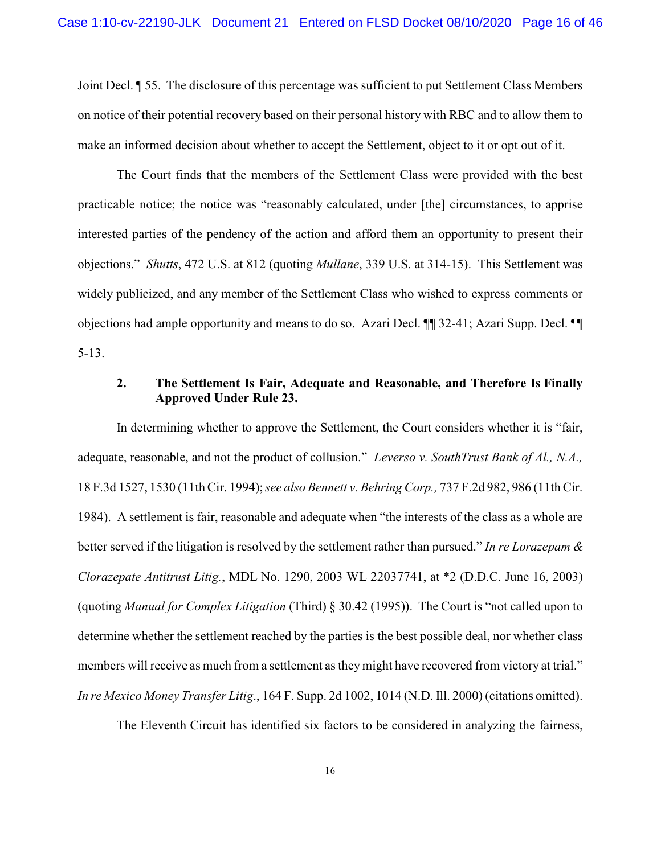Joint Decl. ¶ 55. The disclosure of this percentage was sufficient to put Settlement Class Members on notice of their potential recovery based on their personal history with RBC and to allow them to make an informed decision about whether to accept the Settlement, object to it or opt out of it.

The Court finds that the members of the Settlement Class were provided with the best practicable notice; the notice was "reasonably calculated, under [the] circumstances, to apprise interested parties of the pendency of the action and afford them an opportunity to present their objections." *Shutts*, 472 U.S. at 812 (quoting *Mullane*, 339 U.S. at 314-15). This Settlement was widely publicized, and any member of the Settlement Class who wished to express comments or objections had ample opportunity and means to do so. Azari Decl. ¶¶ 32-41; Azari Supp. Decl. ¶¶ 5-13.

## **2. The Settlement Is Fair, Adequate and Reasonable, and Therefore Is Finally Approved Under Rule 23.**

In determining whether to approve the Settlement, the Court considers whether it is "fair, adequate, reasonable, and not the product of collusion." *Leverso v. SouthTrust Bank of Al., N.A.,* 18 F.3d 1527, 1530 (11th Cir. 1994); *see also Bennett v. Behring Corp.,* 737 F.2d 982, 986 (11th Cir. 1984). A settlement is fair, reasonable and adequate when "the interests of the class as a whole are better served if the litigation is resolved by the settlement rather than pursued." *In re Lorazepam & Clorazepate Antitrust Litig.*, MDL No. 1290, 2003 WL 22037741, at \*2 (D.D.C. June 16, 2003) (quoting *Manual for Complex Litigation* (Third) § 30.42 (1995)). The Court is "not called upon to determine whether the settlement reached by the parties is the best possible deal, nor whether class members will receive as much from a settlement as they might have recovered from victory at trial." *In re Mexico Money Transfer Litig*., 164 F. Supp. 2d 1002, 1014 (N.D. Ill. 2000) (citations omitted).

The Eleventh Circuit has identified six factors to be considered in analyzing the fairness,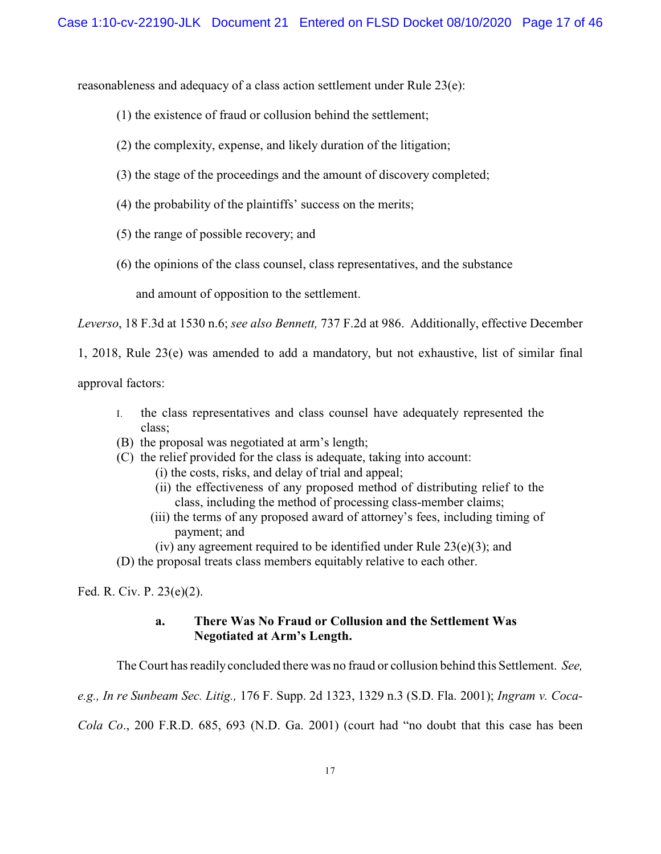reasonableness and adequacy of a class action settlement under Rule 23(e):

- (1) the existence of fraud or collusion behind the settlement;
- (2) the complexity, expense, and likely duration of the litigation;
- (3) the stage of the proceedings and the amount of discovery completed;
- (4) the probability of the plaintiffs' success on the merits;
- (5) the range of possible recovery; and
- (6) the opinions of the class counsel, class representatives, and the substance

and amount of opposition to the settlement.

*Leverso*, 18 F.3d at 1530 n.6; *see also Bennett,* 737 F.2d at 986. Additionally, effective December

1, 2018, Rule 23(e) was amended to add a mandatory, but not exhaustive, list of similar final

approval factors:

- I. the class representatives and class counsel have adequately represented the class;
- (B) the proposal was negotiated at arm's length;
- (C) the relief provided for the class is adequate, taking into account:
	- (i) the costs, risks, and delay of trial and appeal;
	- (ii) the effectiveness of any proposed method of distributing relief to the class, including the method of processing class-member claims;
	- (iii) the terms of any proposed award of attorney's fees, including timing of payment; and
	- (iv) any agreement required to be identified under Rule  $23(e)(3)$ ; and
- (D) the proposal treats class members equitably relative to each other.

Fed. R. Civ. P. 23(e)(2).

## **a. There Was No Fraud or Collusion and the Settlement Was Negotiated at Arm's Length.**

The Court has readily concluded there was no fraud or collusion behind this Settlement. *See,*

*e.g., In re Sunbeam Sec. Litig.,* 176 F. Supp. 2d 1323, 1329 n.3 (S.D. Fla. 2001); *Ingram v. Coca-*

*Cola Co*., 200 F.R.D. 685, 693 (N.D. Ga. 2001) (court had "no doubt that this case has been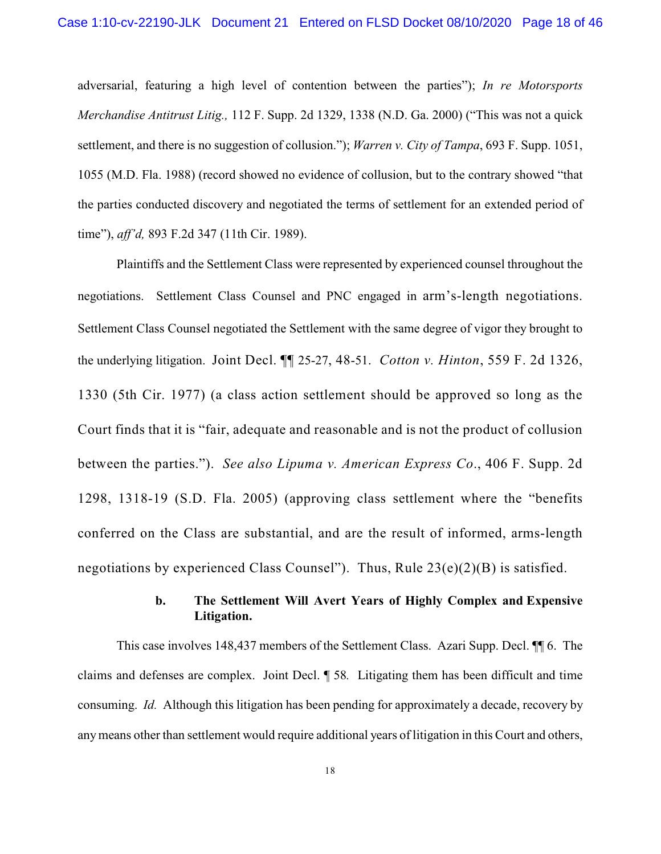adversarial, featuring a high level of contention between the parties"); *In re Motorsports Merchandise Antitrust Litig.,* 112 F. Supp. 2d 1329, 1338 (N.D. Ga. 2000) ("This was not a quick settlement, and there is no suggestion of collusion."); *Warren v. City of Tampa*, 693 F. Supp. 1051, 1055 (M.D. Fla. 1988) (record showed no evidence of collusion, but to the contrary showed "that the parties conducted discovery and negotiated the terms of settlement for an extended period of time"), *aff'd,* 893 F.2d 347 (11th Cir. 1989).

Plaintiffs and the Settlement Class were represented by experienced counsel throughout the negotiations. Settlement Class Counsel and PNC engaged in arm's-length negotiations. Settlement Class Counsel negotiated the Settlement with the same degree of vigor they brought to the underlying litigation. Joint Decl. ¶¶ 25-27, 48-51. *Cotton v. Hinton*, 559 F. 2d 1326, 1330 (5th Cir. 1977) (a class action settlement should be approved so long as the Court finds that it is "fair, adequate and reasonable and is not the product of collusion between the parties."). *See also Lipuma v. American Express Co*., 406 F. Supp. 2d 1298, 1318-19 (S.D. Fla. 2005) (approving class settlement where the "benefits conferred on the Class are substantial, and are the result of informed, arms-length negotiations by experienced Class Counsel"). Thus, Rule  $23(e)(2)(B)$  is satisfied.

# **b. The Settlement Will Avert Years of Highly Complex and Expensive Litigation.**

This case involves 148,437 members of the Settlement Class. Azari Supp. Decl. ¶¶ 6. The claims and defenses are complex. Joint Decl. ¶ 58*.* Litigating them has been difficult and time consuming. *Id.* Although this litigation has been pending for approximately a decade, recovery by any means other than settlement would require additional years of litigation in this Court and others,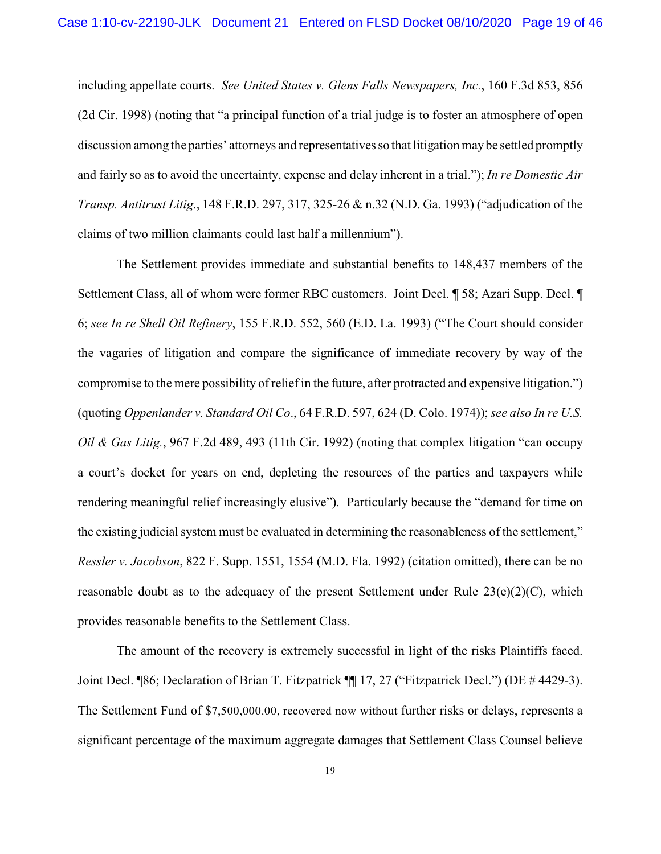including appellate courts. *See United States v. Glens Falls Newspapers, Inc.*, 160 F.3d 853, 856 (2d Cir. 1998) (noting that "a principal function of a trial judge is to foster an atmosphere of open discussion among the parties' attorneys and representatives so that litigation maybe settled promptly and fairly so as to avoid the uncertainty, expense and delay inherent in a trial."); *In re Domestic Air Transp. Antitrust Litig*., 148 F.R.D. 297, 317, 325-26 & n.32 (N.D. Ga. 1993) ("adjudication of the claims of two million claimants could last half a millennium").

The Settlement provides immediate and substantial benefits to 148,437 members of the Settlement Class, all of whom were former RBC customers. Joint Decl. ¶ 58; Azari Supp. Decl. ¶ 6; *see In re Shell Oil Refinery*, 155 F.R.D. 552, 560 (E.D. La. 1993) ("The Court should consider the vagaries of litigation and compare the significance of immediate recovery by way of the compromise to the mere possibility of relief in the future, after protracted and expensive litigation.") (quoting *Oppenlander v. Standard Oil Co*., 64 F.R.D. 597, 624 (D. Colo. 1974)); *see also In re U.S. Oil & Gas Litig.*, 967 F.2d 489, 493 (11th Cir. 1992) (noting that complex litigation "can occupy a court's docket for years on end, depleting the resources of the parties and taxpayers while rendering meaningful relief increasingly elusive"). Particularly because the "demand for time on the existing judicial system must be evaluated in determining the reasonableness of the settlement," *Ressler v. Jacobson*, 822 F. Supp. 1551, 1554 (M.D. Fla. 1992) (citation omitted), there can be no reasonable doubt as to the adequacy of the present Settlement under Rule  $23(e)(2)(C)$ , which provides reasonable benefits to the Settlement Class.

The amount of the recovery is extremely successful in light of the risks Plaintiffs faced. Joint Decl. ¶86; Declaration of Brian T. Fitzpatrick ¶¶ 17, 27 ("Fitzpatrick Decl.") (DE # 4429-3). The Settlement Fund of \$7,500,000.00, recovered now without further risks or delays, represents a significant percentage of the maximum aggregate damages that Settlement Class Counsel believe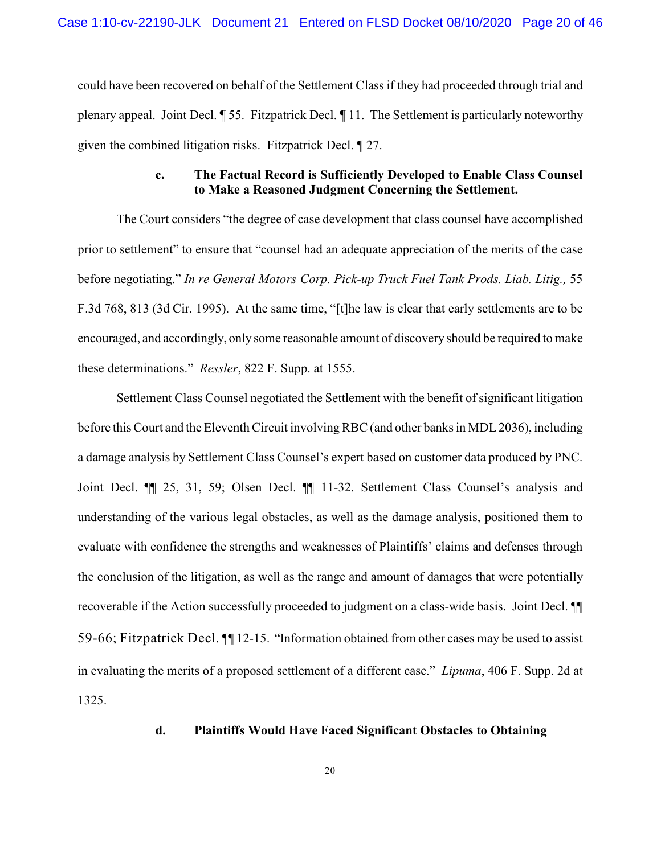could have been recovered on behalf of the Settlement Class if they had proceeded through trial and plenary appeal. Joint Decl. ¶ 55. Fitzpatrick Decl. ¶ 11. The Settlement is particularly noteworthy given the combined litigation risks. Fitzpatrick Decl. ¶ 27.

## **c. The Factual Record is Sufficiently Developed to Enable Class Counsel to Make a Reasoned Judgment Concerning the Settlement.**

The Court considers "the degree of case development that class counsel have accomplished prior to settlement" to ensure that "counsel had an adequate appreciation of the merits of the case before negotiating." *In re General Motors Corp. Pick-up Truck Fuel Tank Prods. Liab. Litig.,* 55 F.3d 768, 813 (3d Cir. 1995). At the same time, "[t]he law is clear that early settlements are to be encouraged, and accordingly, only some reasonable amount of discovery should be required to make these determinations." *Ressler*, 822 F. Supp. at 1555.

Settlement Class Counsel negotiated the Settlement with the benefit of significant litigation before this Court and the Eleventh Circuit involving RBC (and other banks in MDL 2036), including a damage analysis by Settlement Class Counsel's expert based on customer data produced by PNC. Joint Decl. ¶¶ 25, 31, 59; Olsen Decl. ¶¶ 11-32. Settlement Class Counsel's analysis and understanding of the various legal obstacles, as well as the damage analysis, positioned them to evaluate with confidence the strengths and weaknesses of Plaintiffs' claims and defenses through the conclusion of the litigation, as well as the range and amount of damages that were potentially recoverable if the Action successfully proceeded to judgment on a class-wide basis. Joint Decl. ¶¶ 59-66; Fitzpatrick Decl. ¶¶ 12-15. "Information obtained from other cases may be used to assist in evaluating the merits of a proposed settlement of a different case." *Lipuma*, 406 F. Supp. 2d at 1325.

## **d. Plaintiffs Would Have Faced Significant Obstacles to Obtaining**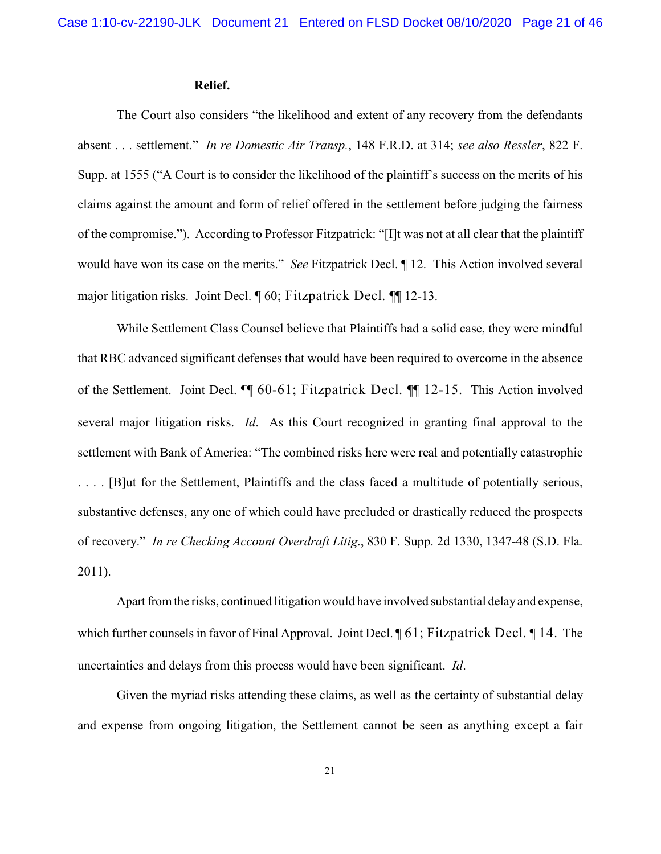#### **Relief.**

The Court also considers "the likelihood and extent of any recovery from the defendants absent . . . settlement." *In re Domestic Air Transp.*, 148 F.R.D. at 314; *see also Ressler*, 822 F. Supp. at 1555 ("A Court is to consider the likelihood of the plaintiff's success on the merits of his claims against the amount and form of relief offered in the settlement before judging the fairness of the compromise."). According to Professor Fitzpatrick: "[I]t was not at all clear that the plaintiff would have won its case on the merits." *See* Fitzpatrick Decl. ¶ 12. This Action involved several major litigation risks. Joint Decl. ¶ 60; Fitzpatrick Decl. ¶¶ 12-13.

While Settlement Class Counsel believe that Plaintiffs had a solid case, they were mindful that RBC advanced significant defenses that would have been required to overcome in the absence of the Settlement. Joint Decl. ¶¶ 60-61; Fitzpatrick Decl. ¶¶ 12-15. This Action involved several major litigation risks. *Id*. As this Court recognized in granting final approval to the settlement with Bank of America: "The combined risks here were real and potentially catastrophic . . . . [B]ut for the Settlement, Plaintiffs and the class faced a multitude of potentially serious, substantive defenses, any one of which could have precluded or drastically reduced the prospects of recovery." *In re Checking Account Overdraft Litig*., 830 F. Supp. 2d 1330, 1347-48 (S.D. Fla. 2011).

Apart from the risks, continued litigation would have involved substantial delay and expense, which further counsels in favor of Final Approval. Joint Decl.  $\P$  61; Fitzpatrick Decl.  $\P$  14. The uncertainties and delays from this process would have been significant. *Id*.

Given the myriad risks attending these claims, as well as the certainty of substantial delay and expense from ongoing litigation, the Settlement cannot be seen as anything except a fair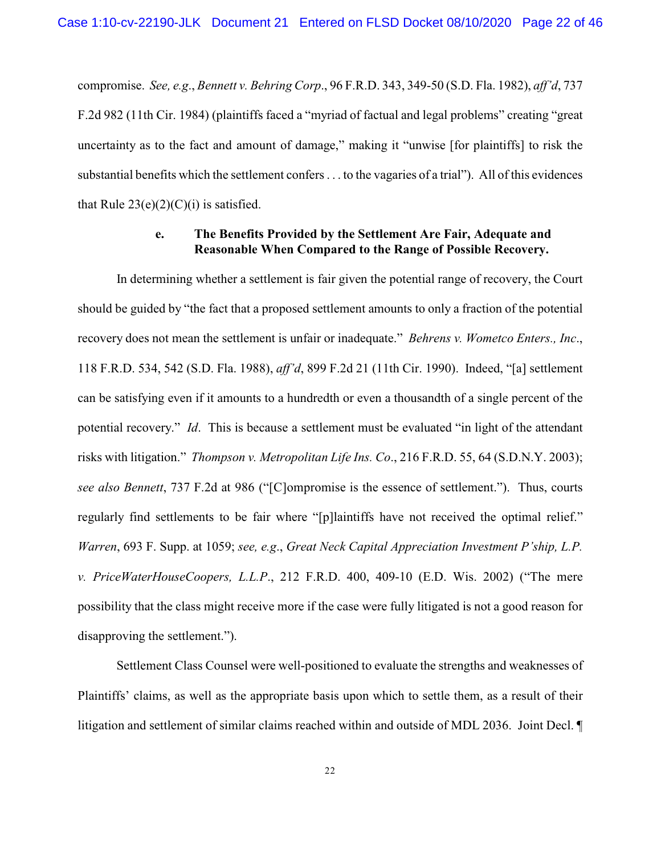compromise. *See, e.g*., *Bennett v. Behring Corp*., 96 F.R.D. 343, 349-50 (S.D. Fla. 1982), *aff'd*, 737 F.2d 982 (11th Cir. 1984) (plaintiffs faced a "myriad of factual and legal problems" creating "great uncertainty as to the fact and amount of damage," making it "unwise [for plaintiffs] to risk the substantial benefits which the settlement confers . . . to the vagaries of a trial"). All of this evidences that Rule  $23(e)(2)(C)(i)$  is satisfied.

## **e. The Benefits Provided by the Settlement Are Fair, Adequate and Reasonable When Compared to the Range of Possible Recovery.**

In determining whether a settlement is fair given the potential range of recovery, the Court should be guided by "the fact that a proposed settlement amounts to only a fraction of the potential recovery does not mean the settlement is unfair or inadequate." *Behrens v. Wometco Enters., Inc*., 118 F.R.D. 534, 542 (S.D. Fla. 1988), *aff'd*, 899 F.2d 21 (11th Cir. 1990). Indeed, "[a] settlement can be satisfying even if it amounts to a hundredth or even a thousandth of a single percent of the potential recovery." *Id*. This is because a settlement must be evaluated "in light of the attendant risks with litigation." *Thompson v. Metropolitan Life Ins. Co*., 216 F.R.D. 55, 64 (S.D.N.Y. 2003); *see also Bennett*, 737 F.2d at 986 ("[C]ompromise is the essence of settlement."). Thus, courts regularly find settlements to be fair where "[p]laintiffs have not received the optimal relief." *Warren*, 693 F. Supp. at 1059; *see, e.g*., *Great Neck Capital Appreciation Investment P'ship, L.P. v. PriceWaterHouseCoopers, L.L.P*., 212 F.R.D. 400, 409-10 (E.D. Wis. 2002) ("The mere possibility that the class might receive more if the case were fully litigated is not a good reason for disapproving the settlement.").

Settlement Class Counsel were well-positioned to evaluate the strengths and weaknesses of Plaintiffs' claims, as well as the appropriate basis upon which to settle them, as a result of their litigation and settlement of similar claims reached within and outside of MDL 2036. Joint Decl. ¶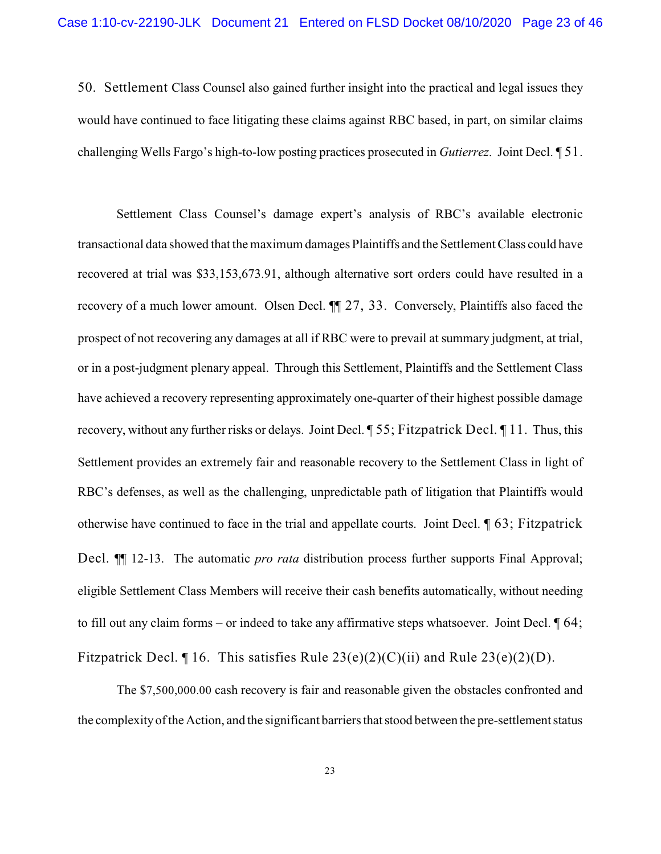50. Settlement Class Counsel also gained further insight into the practical and legal issues they would have continued to face litigating these claims against RBC based, in part, on similar claims challenging Wells Fargo's high-to-low posting practices prosecuted in *Gutierrez*. Joint Decl. ¶ 51.

Settlement Class Counsel's damage expert's analysis of RBC's available electronic transactional data showed that the maximum damages Plaintiffs and the Settlement Class could have recovered at trial was \$33,153,673.91, although alternative sort orders could have resulted in a recovery of a much lower amount. Olsen Decl. ¶¶ 27, 33. Conversely, Plaintiffs also faced the prospect of not recovering any damages at all if RBC were to prevail at summary judgment, at trial, or in a post-judgment plenary appeal. Through this Settlement, Plaintiffs and the Settlement Class have achieved a recovery representing approximately one-quarter of their highest possible damage recovery, without any further risks or delays. Joint Decl. ¶ 55; Fitzpatrick Decl. ¶ 11. Thus, this Settlement provides an extremely fair and reasonable recovery to the Settlement Class in light of RBC's defenses, as well as the challenging, unpredictable path of litigation that Plaintiffs would otherwise have continued to face in the trial and appellate courts. Joint Decl. ¶ 63; Fitzpatrick Decl. **[14]** 12-13. The automatic *pro rata* distribution process further supports Final Approval; eligible Settlement Class Members will receive their cash benefits automatically, without needing to fill out any claim forms – or indeed to take any affirmative steps whatsoever. Joint Decl. ¶ 64; Fitzpatrick Decl.  $\P$  16. This satisfies Rule 23(e)(2)(C)(ii) and Rule 23(e)(2)(D).

The \$7,500,000.00 cash recovery is fair and reasonable given the obstacles confronted and the complexity of the Action, and the significant barriers that stood between the pre-settlement status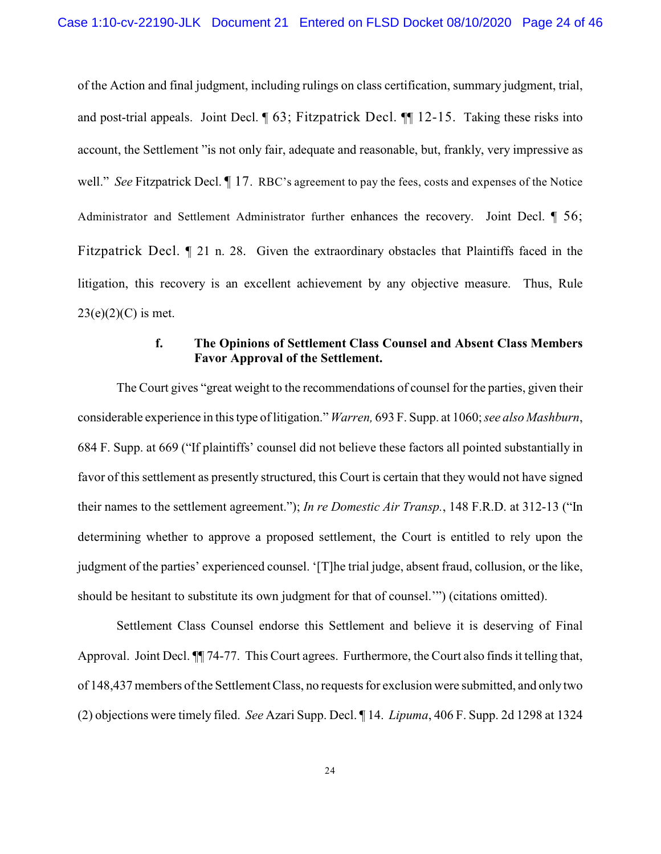of the Action and final judgment, including rulings on class certification, summary judgment, trial, and post-trial appeals. Joint Decl. ¶ 63; Fitzpatrick Decl. ¶¶ 12-15. Taking these risks into account, the Settlement "is not only fair, adequate and reasonable, but, frankly, very impressive as well." *See* Fitzpatrick Decl.  $\llbracket$  17. RBC's agreement to pay the fees, costs and expenses of the Notice Administrator and Settlement Administrator further enhances the recovery. Joint Decl. ¶ 56; Fitzpatrick Decl. ¶ 21 n. 28. Given the extraordinary obstacles that Plaintiffs faced in the litigation, this recovery is an excellent achievement by any objective measure. Thus, Rule  $23(e)(2)(C)$  is met.

### **f. The Opinions of Settlement Class Counsel and Absent Class Members Favor Approval of the Settlement.**

The Court gives "great weight to the recommendations of counsel for the parties, given their considerable experience in this type of litigation." *Warren,* 693 F. Supp. at 1060; *see also Mashburn*, 684 F. Supp. at 669 ("If plaintiffs' counsel did not believe these factors all pointed substantially in favor of this settlement as presently structured, this Court is certain that they would not have signed their names to the settlement agreement."); *In re Domestic Air Transp.*, 148 F.R.D. at 312-13 ("In determining whether to approve a proposed settlement, the Court is entitled to rely upon the judgment of the parties' experienced counsel. '[T]he trial judge, absent fraud, collusion, or the like, should be hesitant to substitute its own judgment for that of counsel.'") (citations omitted).

Settlement Class Counsel endorse this Settlement and believe it is deserving of Final Approval. Joint Decl. ¶¶ 74-77. This Court agrees. Furthermore, the Court also finds it telling that, of 148,437 members of the Settlement Class, no requests for exclusion were submitted, and only two (2) objections were timely filed. *See* Azari Supp. Decl. ¶ 14. *Lipuma*, 406 F. Supp. 2d 1298 at 1324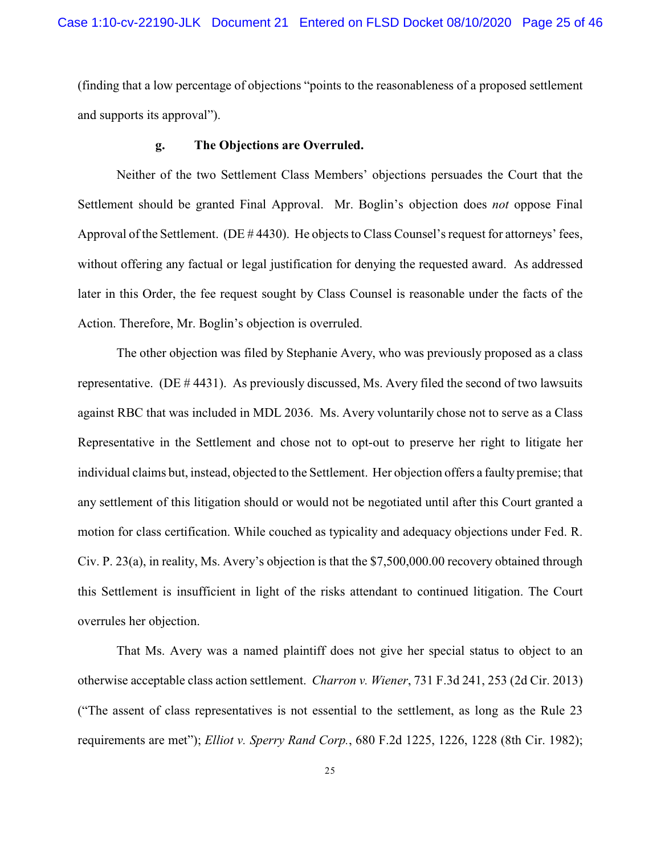(finding that a low percentage of objections "points to the reasonableness of a proposed settlement and supports its approval").

#### **g. The Objections are Overruled.**

Neither of the two Settlement Class Members' objections persuades the Court that the Settlement should be granted Final Approval. Mr. Boglin's objection does *not* oppose Final Approval of the Settlement. (DE # 4430). He objects to Class Counsel's request for attorneys' fees, without offering any factual or legal justification for denying the requested award. As addressed later in this Order, the fee request sought by Class Counsel is reasonable under the facts of the Action. Therefore, Mr. Boglin's objection is overruled.

The other objection was filed by Stephanie Avery, who was previously proposed as a class representative. (DE # 4431). As previously discussed, Ms. Avery filed the second of two lawsuits against RBC that was included in MDL 2036. Ms. Avery voluntarily chose not to serve as a Class Representative in the Settlement and chose not to opt-out to preserve her right to litigate her individual claims but, instead, objected to the Settlement. Her objection offers a faulty premise; that any settlement of this litigation should or would not be negotiated until after this Court granted a motion for class certification. While couched as typicality and adequacy objections under Fed. R. Civ. P. 23(a), in reality, Ms. Avery's objection is that the \$7,500,000.00 recovery obtained through this Settlement is insufficient in light of the risks attendant to continued litigation. The Court overrules her objection.

That Ms. Avery was a named plaintiff does not give her special status to object to an otherwise acceptable class action settlement. *Charron v. Wiener*, 731 F.3d 241, 253 (2d Cir. 2013) ("The assent of class representatives is not essential to the settlement, as long as the Rule 23 requirements are met"); *Elliot v. Sperry Rand Corp.*, 680 F.2d 1225, 1226, 1228 (8th Cir. 1982);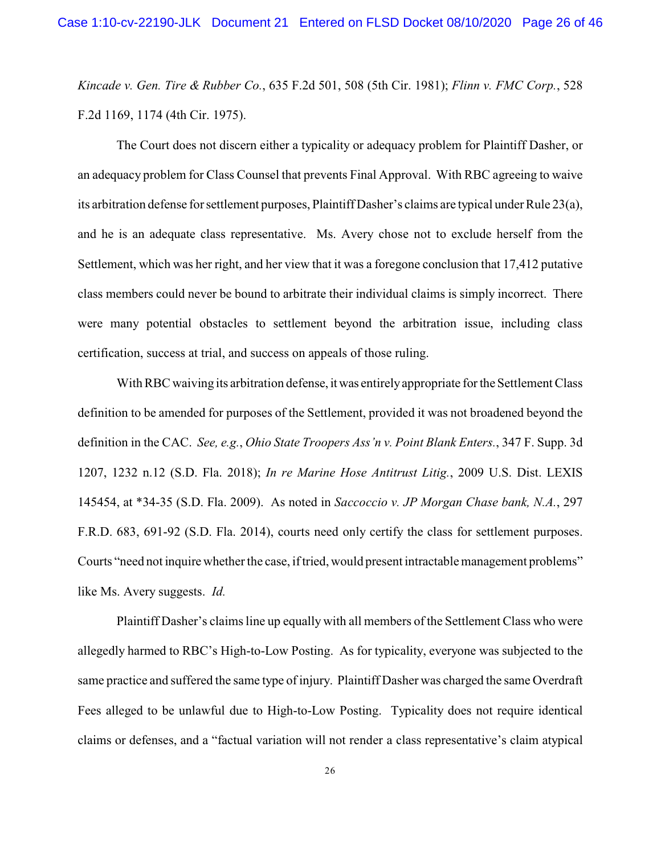*Kincade v. Gen. Tire & Rubber Co.*, 635 F.2d 501, 508 (5th Cir. 1981); *Flinn v. FMC Corp.*, 528 F.2d 1169, 1174 (4th Cir. 1975).

The Court does not discern either a typicality or adequacy problem for Plaintiff Dasher, or an adequacy problem for Class Counsel that prevents Final Approval. With RBC agreeing to waive its arbitration defense for settlement purposes, Plaintiff Dasher's claims are typical under Rule 23(a), and he is an adequate class representative. Ms. Avery chose not to exclude herself from the Settlement, which was her right, and her view that it was a foregone conclusion that 17,412 putative class members could never be bound to arbitrate their individual claims is simply incorrect. There were many potential obstacles to settlement beyond the arbitration issue, including class certification, success at trial, and success on appeals of those ruling.

With RBC waiving its arbitration defense, it was entirely appropriate for the Settlement Class definition to be amended for purposes of the Settlement, provided it was not broadened beyond the definition in the CAC. *See, e.g.*, *Ohio State Troopers Ass'n v. Point Blank Enters.*, 347 F. Supp. 3d 1207, 1232 n.12 (S.D. Fla. 2018); *In re Marine Hose Antitrust Litig.*, 2009 U.S. Dist. LEXIS 145454, at \*34-35 (S.D. Fla. 2009). As noted in *Saccoccio v. JP Morgan Chase bank, N.A.*, 297 F.R.D. 683, 691-92 (S.D. Fla. 2014), courts need only certify the class for settlement purposes. Courts "need not inquire whether the case, if tried, would present intractable management problems" like Ms. Avery suggests. *Id.*

Plaintiff Dasher's claims line up equally with all members of the Settlement Class who were allegedly harmed to RBC's High-to-Low Posting. As for typicality, everyone was subjected to the same practice and suffered the same type of injury. Plaintiff Dasher was charged the same Overdraft Fees alleged to be unlawful due to High-to-Low Posting. Typicality does not require identical claims or defenses, and a "factual variation will not render a class representative's claim atypical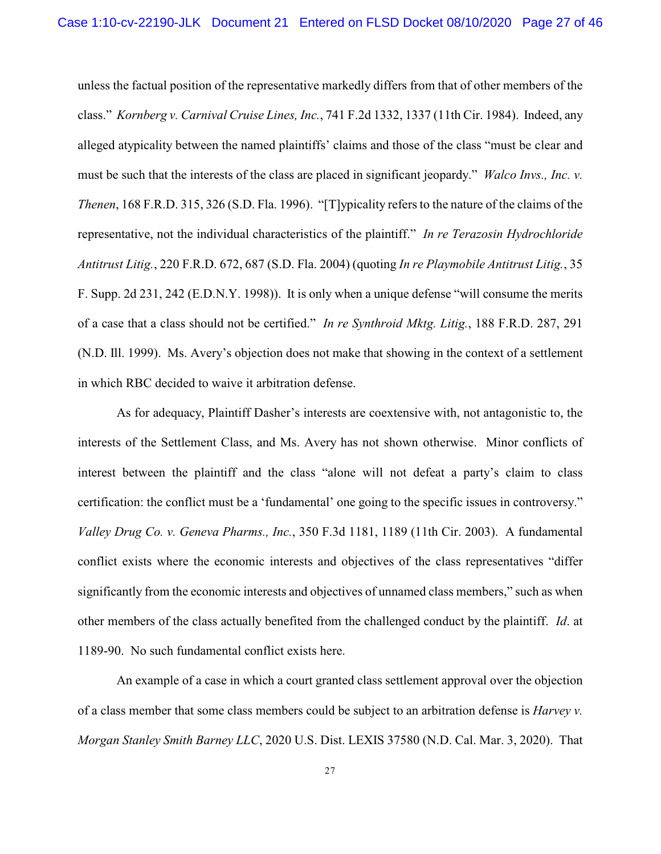unless the factual position of the representative markedly differs from that of other members of the class." *Kornberg v. Carnival Cruise Lines, Inc.*, 741 F.2d 1332, 1337 (11th Cir. 1984). Indeed, any alleged atypicality between the named plaintiffs' claims and those of the class "must be clear and must be such that the interests of the class are placed in significant jeopardy." *Walco Invs., Inc. v. Thenen*, 168 F.R.D. 315, 326 (S.D. Fla. 1996). "[T]ypicality refers to the nature of the claims of the representative, not the individual characteristics of the plaintiff." *In re Terazosin Hydrochloride Antitrust Litig.*, 220 F.R.D. 672, 687 (S.D. Fla. 2004) (quoting *In re Playmobile Antitrust Litig.*, 35 F. Supp. 2d 231, 242 (E.D.N.Y. 1998)). It is only when a unique defense "will consume the merits of a case that a class should not be certified." *In re Synthroid Mktg. Litig.*, 188 F.R.D. 287, 291 (N.D. Ill. 1999). Ms. Avery's objection does not make that showing in the context of a settlement in which RBC decided to waive it arbitration defense.

As for adequacy, Plaintiff Dasher's interests are coextensive with, not antagonistic to, the interests of the Settlement Class, and Ms. Avery has not shown otherwise. Minor conflicts of interest between the plaintiff and the class "alone will not defeat a party's claim to class certification: the conflict must be a 'fundamental' one going to the specific issues in controversy." *Valley Drug Co. v. Geneva Pharms., Inc.*, 350 F.3d 1181, 1189 (11th Cir. 2003). A fundamental conflict exists where the economic interests and objectives of the class representatives "differ significantly from the economic interests and objectives of unnamed class members," such as when other members of the class actually benefited from the challenged conduct by the plaintiff. *Id*. at 1189-90. No such fundamental conflict exists here.

An example of a case in which a court granted class settlement approval over the objection of a class member that some class members could be subject to an arbitration defense is *Harvey v. Morgan Stanley Smith Barney LLC*, 2020 U.S. Dist. LEXIS 37580 (N.D. Cal. Mar. 3, 2020). That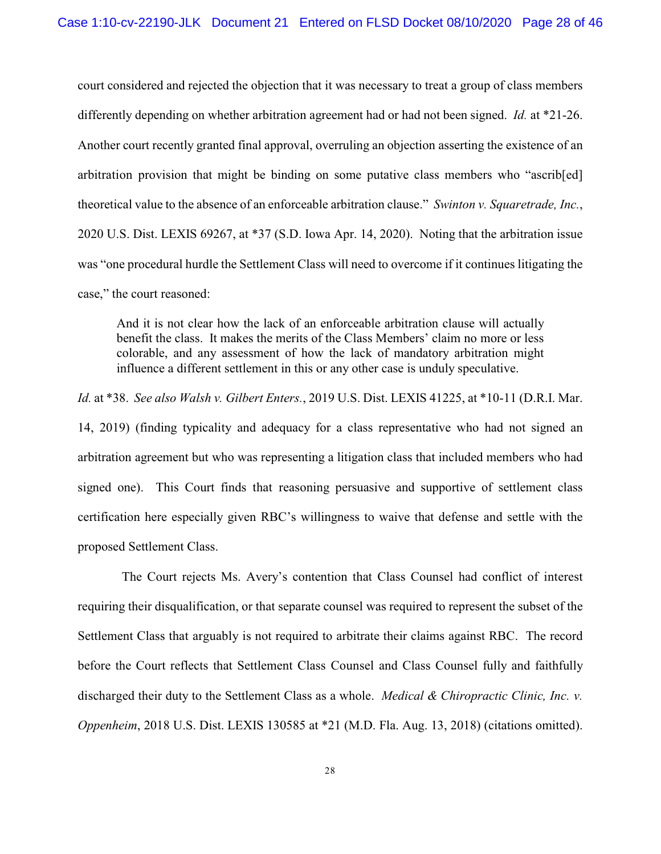court considered and rejected the objection that it was necessary to treat a group of class members differently depending on whether arbitration agreement had or had not been signed. *Id.* at \*21-26. Another court recently granted final approval, overruling an objection asserting the existence of an arbitration provision that might be binding on some putative class members who "ascrib[ed] theoretical value to the absence of an enforceable arbitration clause." *Swinton v. Squaretrade, Inc.*, 2020 U.S. Dist. LEXIS 69267, at \*37 (S.D. Iowa Apr. 14, 2020).Noting that the arbitration issue was "one procedural hurdle the Settlement Class will need to overcome if it continues litigating the case," the court reasoned:

And it is not clear how the lack of an enforceable arbitration clause will actually benefit the class. It makes the merits of the Class Members' claim no more or less colorable, and any assessment of how the lack of mandatory arbitration might influence a different settlement in this or any other case is unduly speculative.

*Id.* at \*38. *See also Walsh v. Gilbert Enters.*, 2019 U.S. Dist. LEXIS 41225, at \*10-11 (D.R.I. Mar. 14, 2019) (finding typicality and adequacy for a class representative who had not signed an arbitration agreement but who was representing a litigation class that included members who had signed one). This Court finds that reasoning persuasive and supportive of settlement class certification here especially given RBC's willingness to waive that defense and settle with the proposed Settlement Class.

The Court rejects Ms. Avery's contention that Class Counsel had conflict of interest requiring their disqualification, or that separate counsel was required to represent the subset of the Settlement Class that arguably is not required to arbitrate their claims against RBC. The record before the Court reflects that Settlement Class Counsel and Class Counsel fully and faithfully discharged their duty to the Settlement Class as a whole. *Medical & Chiropractic Clinic, Inc. v. Oppenheim*, 2018 U.S. Dist. LEXIS 130585 at \*21 (M.D. Fla. Aug. 13, 2018) (citations omitted).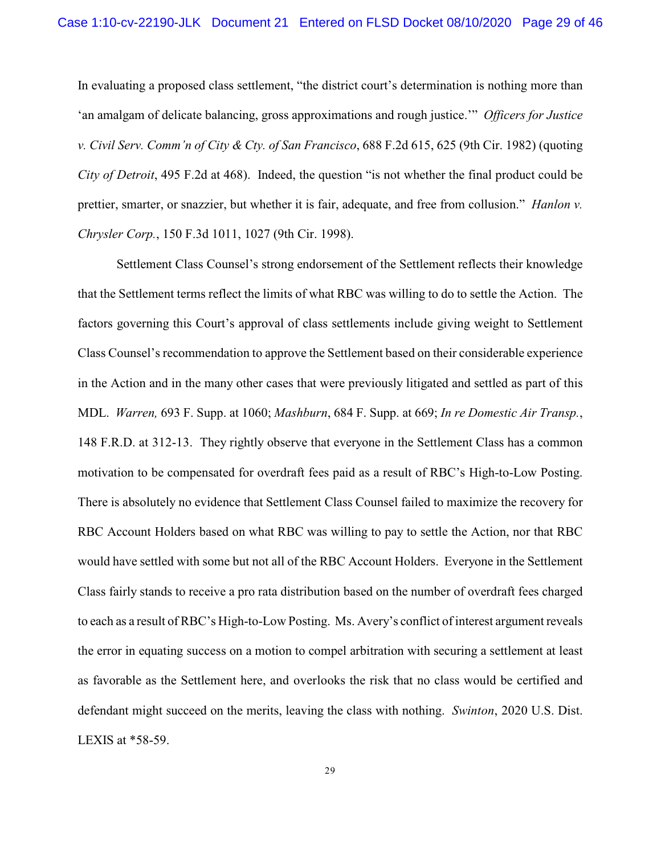In evaluating a proposed class settlement, "the district court's determination is nothing more than 'an amalgam of delicate balancing, gross approximations and rough justice.'" *Officers for Justice v. Civil Serv. Comm'n of City & Cty. of San Francisco*, 688 F.2d 615, 625 (9th Cir. 1982) (quoting *City of Detroit*, 495 F.2d at 468). Indeed, the question "is not whether the final product could be prettier, smarter, or snazzier, but whether it is fair, adequate, and free from collusion." *Hanlon v. Chrysler Corp.*, 150 F.3d 1011, 1027 (9th Cir. 1998).

Settlement Class Counsel's strong endorsement of the Settlement reflects their knowledge that the Settlement terms reflect the limits of what RBC was willing to do to settle the Action. The factors governing this Court's approval of class settlements include giving weight to Settlement Class Counsel's recommendation to approve the Settlement based on their considerable experience in the Action and in the many other cases that were previously litigated and settled as part of this MDL. *Warren,* 693 F. Supp. at 1060; *Mashburn*, 684 F. Supp. at 669; *In re Domestic Air Transp.*, 148 F.R.D. at 312-13. They rightly observe that everyone in the Settlement Class has a common motivation to be compensated for overdraft fees paid as a result of RBC's High-to-Low Posting. There is absolutely no evidence that Settlement Class Counsel failed to maximize the recovery for RBC Account Holders based on what RBC was willing to pay to settle the Action, nor that RBC would have settled with some but not all of the RBC Account Holders. Everyone in the Settlement Class fairly stands to receive a pro rata distribution based on the number of overdraft fees charged to each as a result of RBC's High-to-Low Posting. Ms. Avery's conflict of interest argument reveals the error in equating success on a motion to compel arbitration with securing a settlement at least as favorable as the Settlement here, and overlooks the risk that no class would be certified and defendant might succeed on the merits, leaving the class with nothing. *Swinton*, 2020 U.S. Dist. LEXIS at \*58-59.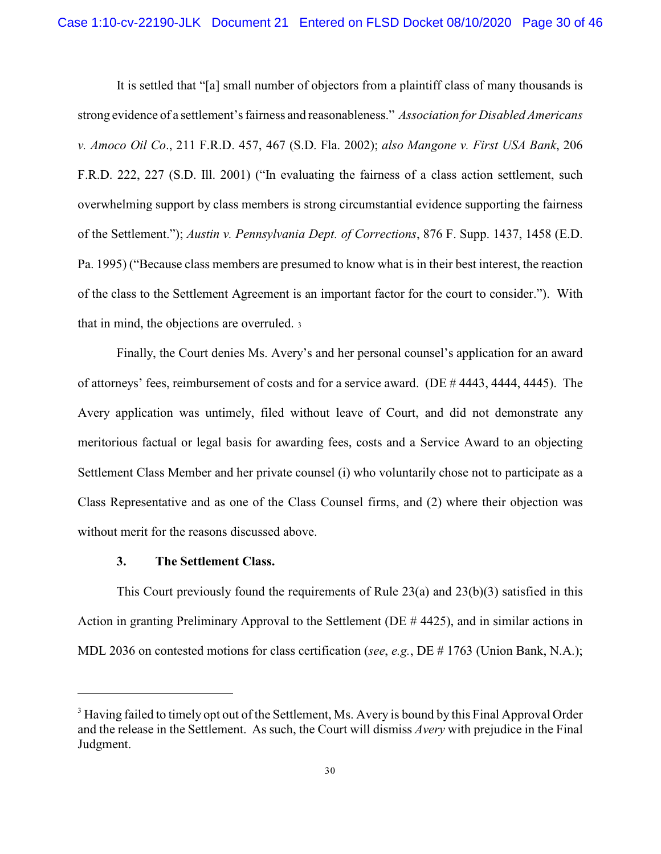It is settled that "[a] small number of objectors from a plaintiff class of many thousands is strong evidence of a settlement's fairness and reasonableness." *Association for Disabled Americans v. Amoco Oil Co*., 211 F.R.D. 457, 467 (S.D. Fla. 2002); *also Mangone v. First USA Bank*, 206 F.R.D. 222, 227 (S.D. Ill. 2001) ("In evaluating the fairness of a class action settlement, such overwhelming support by class members is strong circumstantial evidence supporting the fairness of the Settlement."); *Austin v. Pennsylvania Dept. of Corrections*, 876 F. Supp. 1437, 1458 (E.D. Pa. 1995) ("Because class members are presumed to know what is in their best interest, the reaction of the class to the Settlement Agreement is an important factor for the court to consider."). With that in mind, the objections are overruled. <sup>3</sup>

Finally, the Court denies Ms. Avery's and her personal counsel's application for an award of attorneys' fees, reimbursement of costs and for a service award. (DE # 4443, 4444, 4445). The Avery application was untimely, filed without leave of Court, and did not demonstrate any meritorious factual or legal basis for awarding fees, costs and a Service Award to an objecting Settlement Class Member and her private counsel (i) who voluntarily chose not to participate as a Class Representative and as one of the Class Counsel firms, and (2) where their objection was without merit for the reasons discussed above.

### **3. The Settlement Class.**

This Court previously found the requirements of Rule 23(a) and 23(b)(3) satisfied in this Action in granting Preliminary Approval to the Settlement (DE # 4425), and in similar actions in MDL 2036 on contested motions for class certification (*see*, *e.g.*, DE # 1763 (Union Bank, N.A.);

<sup>&</sup>lt;sup>3</sup> Having failed to timely opt out of the Settlement, Ms. Avery is bound by this Final Approval Order and the release in the Settlement. As such, the Court will dismiss *Avery* with prejudice in the Final Judgment.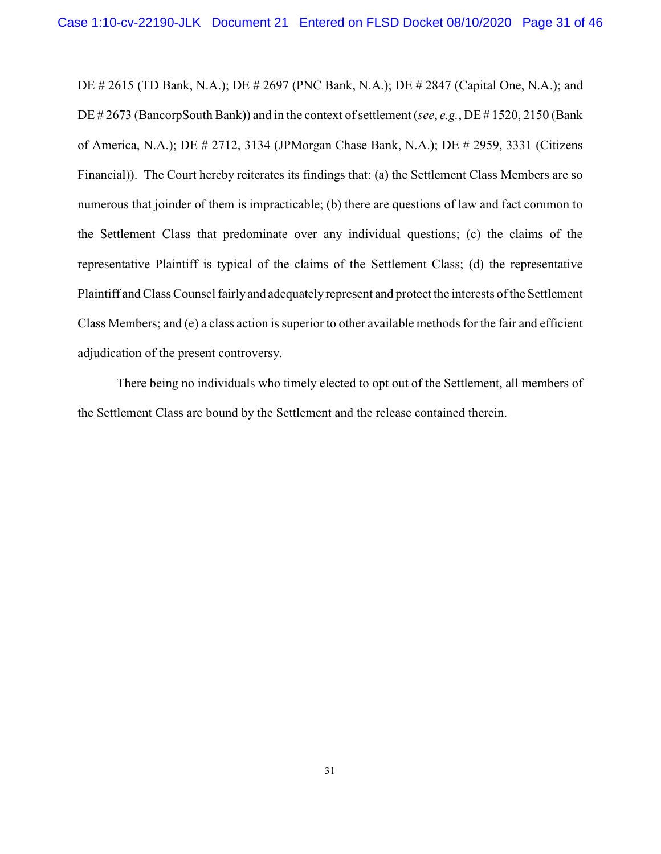DE # 2615 (TD Bank, N.A.); DE # 2697 (PNC Bank, N.A.); DE # 2847 (Capital One, N.A.); and DE # 2673 (BancorpSouth Bank)) and in the context of settlement (*see*, *e.g.*, DE # 1520, 2150 (Bank) of America, N.A.); DE # 2712, 3134 (JPMorgan Chase Bank, N.A.); DE # 2959, 3331 (Citizens Financial)). The Court hereby reiterates its findings that: (a) the Settlement Class Members are so numerous that joinder of them is impracticable; (b) there are questions of law and fact common to the Settlement Class that predominate over any individual questions; (c) the claims of the representative Plaintiff is typical of the claims of the Settlement Class; (d) the representative Plaintiff and Class Counsel fairly and adequately represent and protect the interests of the Settlement Class Members; and (e) a class action is superior to other available methods for the fair and efficient adjudication of the present controversy.

There being no individuals who timely elected to opt out of the Settlement, all members of the Settlement Class are bound by the Settlement and the release contained therein.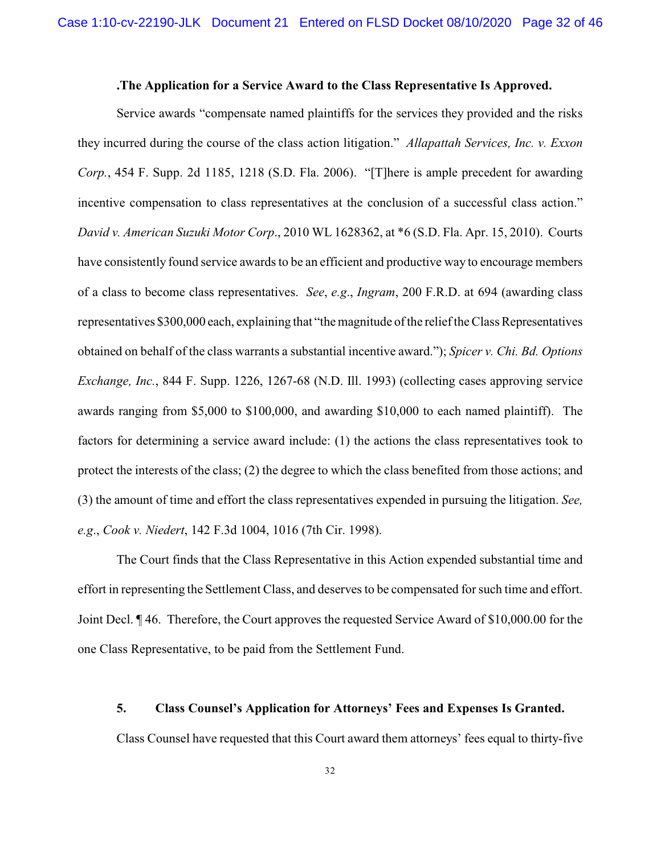### **.The Application for a Service Award to the Class Representative Is Approved.**

Service awards "compensate named plaintiffs for the services they provided and the risks they incurred during the course of the class action litigation." *Allapattah Services, Inc. v. Exxon Corp.*, 454 F. Supp. 2d 1185, 1218 (S.D. Fla. 2006). "[T]here is ample precedent for awarding incentive compensation to class representatives at the conclusion of a successful class action." *David v. American Suzuki Motor Corp*., 2010 WL 1628362, at \*6 (S.D. Fla. Apr. 15, 2010). Courts have consistently found service awards to be an efficient and productive way to encourage members of a class to become class representatives. *See*, *e.g*., *Ingram*, 200 F.R.D. at 694 (awarding class representatives \$300,000 each, explaining that "the magnitude of the relief the Class Representatives obtained on behalf of the class warrants a substantial incentive award."); *Spicer v. Chi. Bd. Options Exchange, Inc.*, 844 F. Supp. 1226, 1267-68 (N.D. Ill. 1993) (collecting cases approving service awards ranging from \$5,000 to \$100,000, and awarding \$10,000 to each named plaintiff). The factors for determining a service award include: (1) the actions the class representatives took to protect the interests of the class; (2) the degree to which the class benefited from those actions; and (3) the amount of time and effort the class representatives expended in pursuing the litigation. *See, e.g*., *Cook v. Niedert*, 142 F.3d 1004, 1016 (7th Cir. 1998).

The Court finds that the Class Representative in this Action expended substantial time and effort in representing the Settlement Class, and deserves to be compensated for such time and effort. Joint Decl. ¶ 46. Therefore, the Court approves the requested Service Award of \$10,000.00 for the one Class Representative, to be paid from the Settlement Fund.

#### **5. Class Counsel's Application for Attorneys' Fees and Expenses Is Granted.**

Class Counsel have requested that this Court award them attorneys' fees equal to thirty-five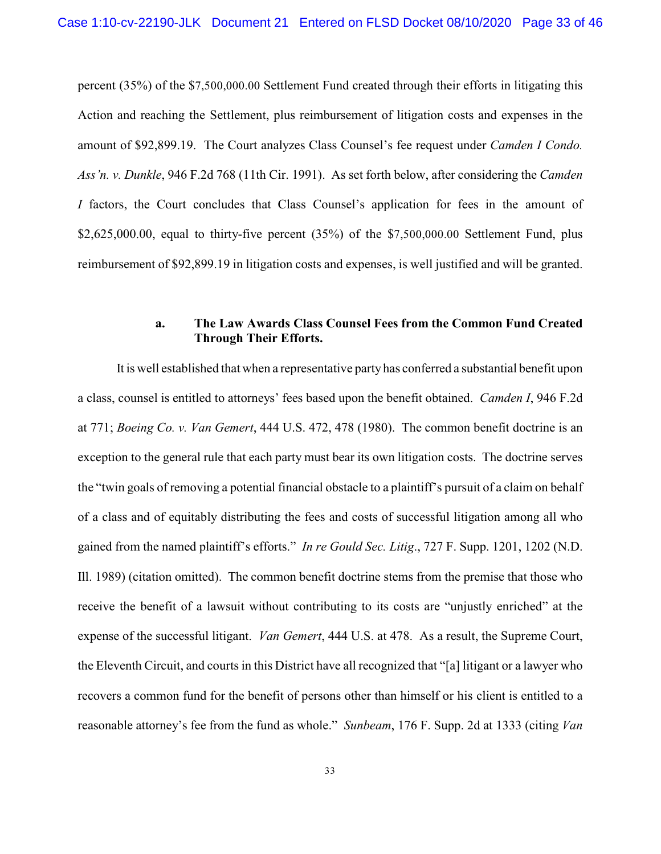percent (35%) of the \$7,500,000.00 Settlement Fund created through their efforts in litigating this Action and reaching the Settlement, plus reimbursement of litigation costs and expenses in the amount of \$92,899.19. The Court analyzes Class Counsel's fee request under *Camden I Condo. Ass'n. v. Dunkle*, 946 F.2d 768 (11th Cir. 1991). As set forth below, after considering the *Camden I* factors, the Court concludes that Class Counsel's application for fees in the amount of \$2,625,000.00, equal to thirty-five percent (35%) of the \$7,500,000.00 Settlement Fund, plus reimbursement of \$92,899.19 in litigation costs and expenses, is well justified and will be granted.

## **a. The Law Awards Class Counsel Fees from the Common Fund Created Through Their Efforts.**

It is well established that when a representative party has conferred a substantial benefit upon a class, counsel is entitled to attorneys' fees based upon the benefit obtained. *Camden I*, 946 F.2d at 771; *Boeing Co. v. Van Gemert*, 444 U.S. 472, 478 (1980). The common benefit doctrine is an exception to the general rule that each party must bear its own litigation costs. The doctrine serves the "twin goals of removing a potential financial obstacle to a plaintiff's pursuit of a claim on behalf of a class and of equitably distributing the fees and costs of successful litigation among all who gained from the named plaintiff's efforts." *In re Gould Sec. Litig*., 727 F. Supp. 1201, 1202 (N.D. Ill. 1989) (citation omitted). The common benefit doctrine stems from the premise that those who receive the benefit of a lawsuit without contributing to its costs are "unjustly enriched" at the expense of the successful litigant. *Van Gemert*, 444 U.S. at 478. As a result, the Supreme Court, the Eleventh Circuit, and courts in this District have all recognized that "[a] litigant or a lawyer who recovers a common fund for the benefit of persons other than himself or his client is entitled to a reasonable attorney's fee from the fund as whole." *Sunbeam*, 176 F. Supp. 2d at 1333 (citing *Van*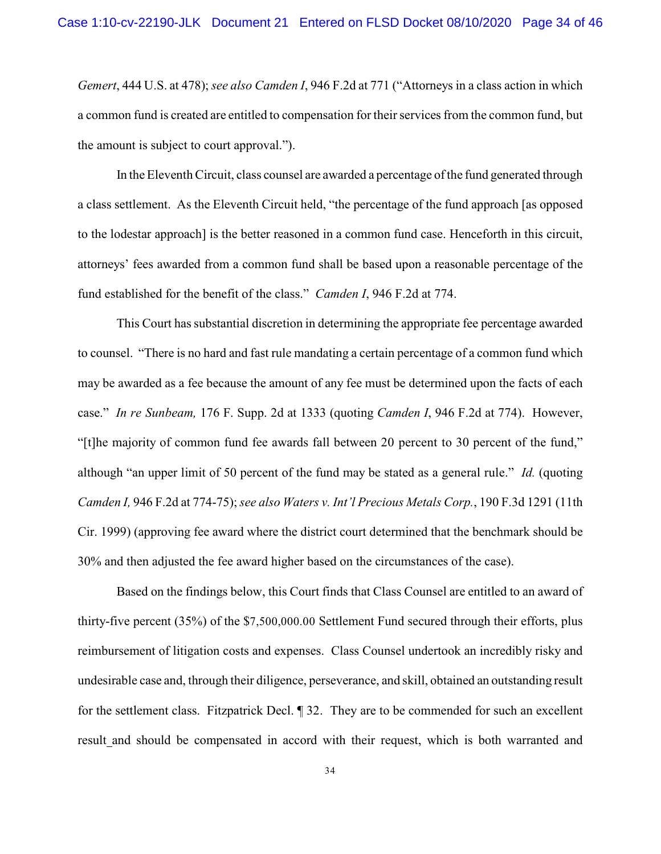*Gemert*, 444 U.S. at 478); *see also Camden I*, 946 F.2d at 771 ("Attorneys in a class action in which a common fund is created are entitled to compensation for their services from the common fund, but the amount is subject to court approval.").

In the Eleventh Circuit, class counsel are awarded a percentage of the fund generated through a class settlement. As the Eleventh Circuit held, "the percentage of the fund approach [as opposed to the lodestar approach] is the better reasoned in a common fund case. Henceforth in this circuit, attorneys' fees awarded from a common fund shall be based upon a reasonable percentage of the fund established for the benefit of the class." *Camden I*, 946 F.2d at 774.

This Court has substantial discretion in determining the appropriate fee percentage awarded to counsel. "There is no hard and fast rule mandating a certain percentage of a common fund which may be awarded as a fee because the amount of any fee must be determined upon the facts of each case." *In re Sunbeam,* 176 F. Supp. 2d at 1333 (quoting *Camden I*, 946 F.2d at 774). However, "[t]he majority of common fund fee awards fall between 20 percent to 30 percent of the fund," although "an upper limit of 50 percent of the fund may be stated as a general rule." *Id.* (quoting *Camden I,* 946 F.2d at 774-75);*see also Waters v. Int'l Precious Metals Corp.*, 190 F.3d 1291 (11th Cir. 1999) (approving fee award where the district court determined that the benchmark should be 30% and then adjusted the fee award higher based on the circumstances of the case).

Based on the findings below, this Court finds that Class Counsel are entitled to an award of thirty-five percent (35%) of the \$7,500,000.00 Settlement Fund secured through their efforts, plus reimbursement of litigation costs and expenses. Class Counsel undertook an incredibly risky and undesirable case and, through their diligence, perseverance, and skill, obtained an outstanding result for the settlement class. Fitzpatrick Decl. ¶ 32. They are to be commended for such an excellent result and should be compensated in accord with their request, which is both warranted and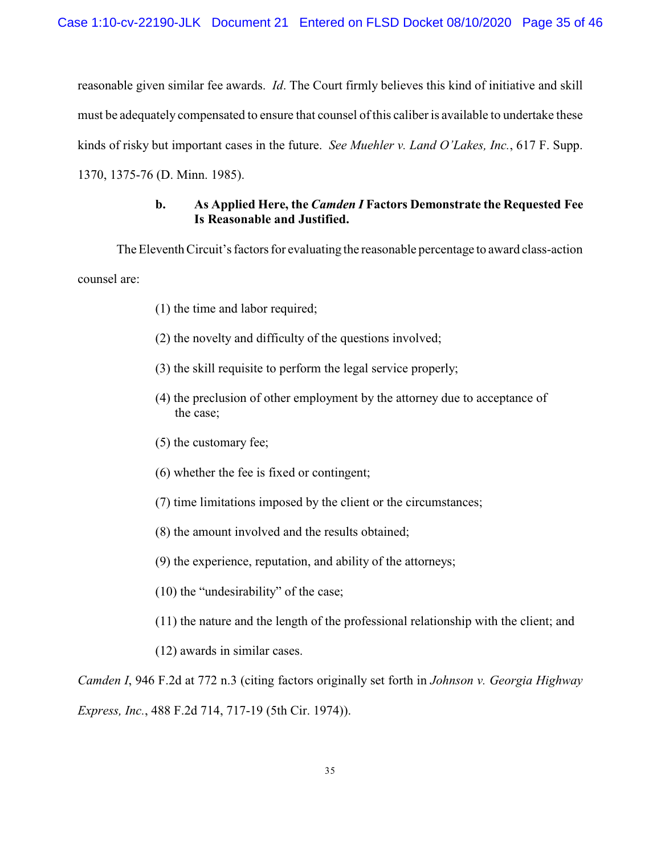reasonable given similar fee awards. *Id*. The Court firmly believes this kind of initiative and skill must be adequately compensated to ensure that counsel ofthis caliber is available to undertake these kinds of risky but important cases in the future. *See Muehler v. Land O'Lakes, Inc.*, 617 F. Supp. 1370, 1375-76 (D. Minn. 1985).

## **b. As Applied Here, the** *Camden I* **Factors Demonstrate the Requested Fee Is Reasonable and Justified.**

The Eleventh Circuit's factors for evaluating the reasonable percentage to award class-action counsel are:

- (1) the time and labor required;
- (2) the novelty and difficulty of the questions involved;
- (3) the skill requisite to perform the legal service properly;
- (4) the preclusion of other employment by the attorney due to acceptance of the case;
- (5) the customary fee;
- (6) whether the fee is fixed or contingent;
- (7) time limitations imposed by the client or the circumstances;
- (8) the amount involved and the results obtained;
- (9) the experience, reputation, and ability of the attorneys;
- (10) the "undesirability" of the case;
- (11) the nature and the length of the professional relationship with the client; and
- (12) awards in similar cases.

*Camden I*, 946 F.2d at 772 n.3 (citing factors originally set forth in *Johnson v. Georgia Highway Express, Inc.*, 488 F.2d 714, 717-19 (5th Cir. 1974)).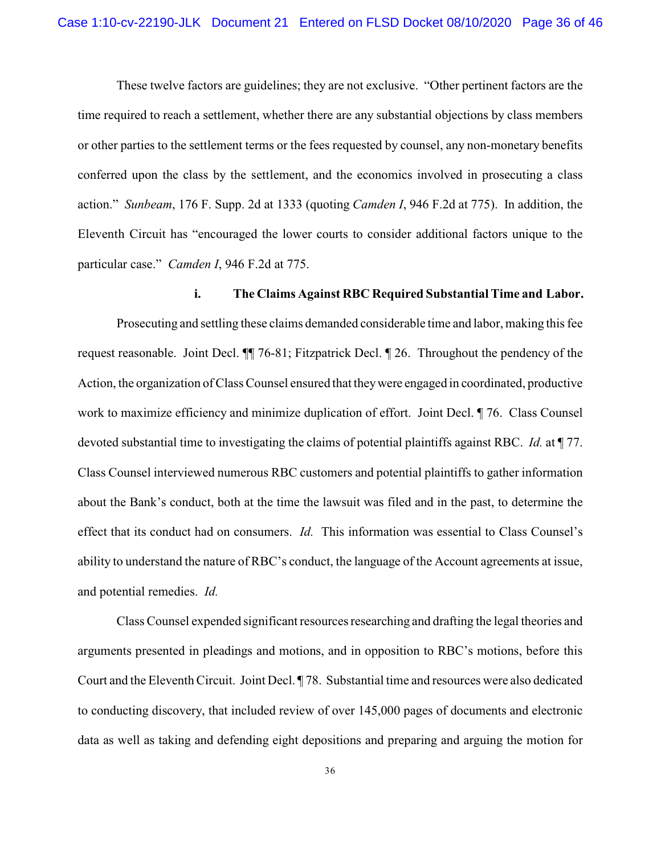These twelve factors are guidelines; they are not exclusive. "Other pertinent factors are the time required to reach a settlement, whether there are any substantial objections by class members or other parties to the settlement terms or the fees requested by counsel, any non-monetary benefits conferred upon the class by the settlement, and the economics involved in prosecuting a class action." *Sunbeam*, 176 F. Supp. 2d at 1333 (quoting *Camden I*, 946 F.2d at 775). In addition, the Eleventh Circuit has "encouraged the lower courts to consider additional factors unique to the particular case." *Camden I*, 946 F.2d at 775.

### **i. The Claims Against RBC Required Substantial Time and Labor.**

Prosecuting and settling these claims demanded considerable time and labor, making this fee request reasonable. Joint Decl. ¶¶ 76-81; Fitzpatrick Decl. ¶ 26. Throughout the pendency of the Action, the organization of Class Counsel ensured that theywere engaged in coordinated, productive work to maximize efficiency and minimize duplication of effort. Joint Decl. ¶ 76. Class Counsel devoted substantial time to investigating the claims of potential plaintiffs against RBC. *Id.* at ¶ 77. Class Counsel interviewed numerous RBC customers and potential plaintiffs to gather information about the Bank's conduct, both at the time the lawsuit was filed and in the past, to determine the effect that its conduct had on consumers. *Id.* This information was essential to Class Counsel's ability to understand the nature of RBC's conduct, the language of the Account agreements at issue, and potential remedies. *Id.*

Class Counsel expended significant resources researching and drafting the legal theories and arguments presented in pleadings and motions, and in opposition to RBC's motions, before this Court and the Eleventh Circuit. Joint Decl. ¶ 78. Substantial time and resources were also dedicated to conducting discovery, that included review of over 145,000 pages of documents and electronic data as well as taking and defending eight depositions and preparing and arguing the motion for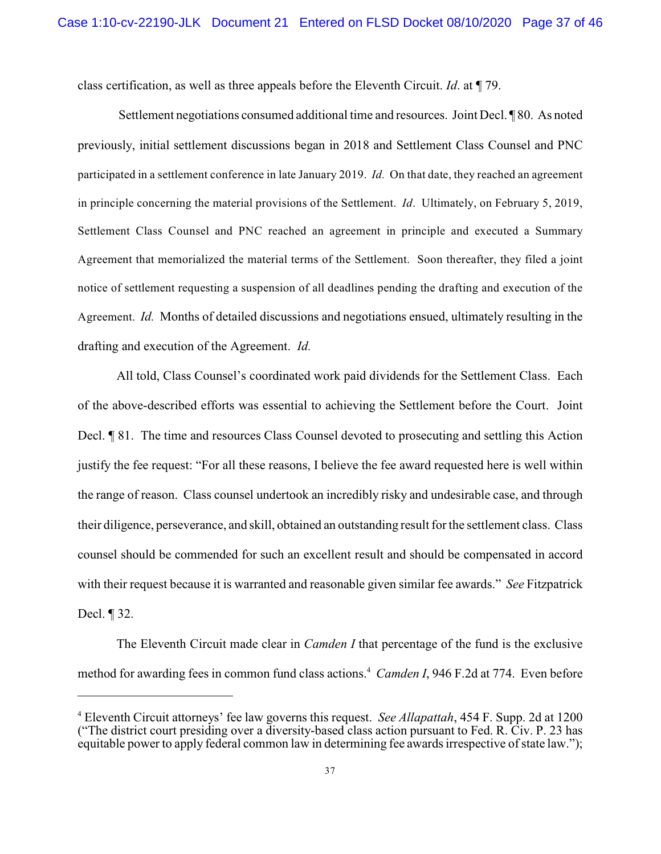class certification, as well as three appeals before the Eleventh Circuit. *Id*. at ¶ 79.

 Settlement negotiations consumed additional time and resources. Joint Decl. ¶ 80. As noted previously, initial settlement discussions began in 2018 and Settlement Class Counsel and PNC participated in a settlement conference in late January 2019. *Id.* On that date, they reached an agreement in principle concerning the material provisions of the Settlement. *Id*. Ultimately, on February 5, 2019, Settlement Class Counsel and PNC reached an agreement in principle and executed a Summary Agreement that memorialized the material terms of the Settlement. Soon thereafter, they filed a joint notice of settlement requesting a suspension of all deadlines pending the drafting and execution of the Agreement. *Id.* Months of detailed discussions and negotiations ensued, ultimately resulting in the drafting and execution of the Agreement. *Id.*

All told, Class Counsel's coordinated work paid dividends for the Settlement Class. Each of the above-described efforts was essential to achieving the Settlement before the Court. Joint Decl. ¶ 81. The time and resources Class Counsel devoted to prosecuting and settling this Action justify the fee request: "For all these reasons, I believe the fee award requested here is well within the range of reason. Class counsel undertook an incredibly risky and undesirable case, and through their diligence, perseverance, and skill, obtained an outstanding result for the settlement class. Class counsel should be commended for such an excellent result and should be compensated in accord with their request because it is warranted and reasonable given similar fee awards." *See* Fitzpatrick Decl. ¶ 32.

The Eleventh Circuit made clear in *Camden I* that percentage of the fund is the exclusive method for awarding fees in common fund class actions.<sup>4</sup> Camden I, 946 F.2d at 774. Even before

Eleventh Circuit attorneys' fee law governs this request. *See Allapattah*, 454 F. Supp. 2d at 1200 <sup>4</sup> ("The district court presiding over a diversity-based class action pursuant to Fed. R. Civ. P. 23 has equitable power to apply federal common law in determining fee awards irrespective of state law.");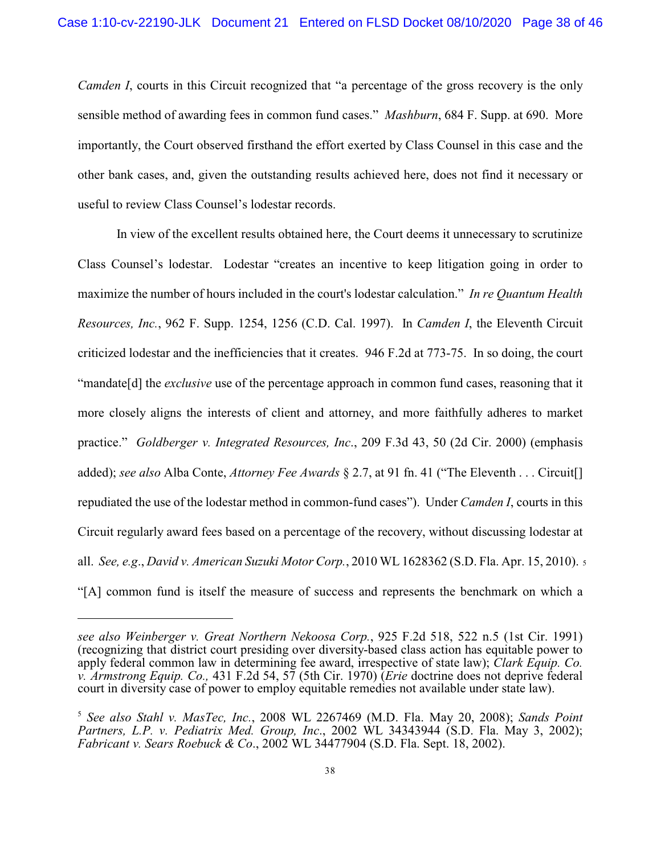*Camden I*, courts in this Circuit recognized that "a percentage of the gross recovery is the only sensible method of awarding fees in common fund cases." *Mashburn*, 684 F. Supp. at 690. More importantly, the Court observed firsthand the effort exerted by Class Counsel in this case and the other bank cases, and, given the outstanding results achieved here, does not find it necessary or useful to review Class Counsel's lodestar records.

In view of the excellent results obtained here, the Court deems it unnecessary to scrutinize Class Counsel's lodestar. Lodestar "creates an incentive to keep litigation going in order to maximize the number of hours included in the court's lodestar calculation." *In re Quantum Health Resources, Inc.*, 962 F. Supp. 1254, 1256 (C.D. Cal. 1997). In *Camden I*, the Eleventh Circuit criticized lodestar and the inefficiencies that it creates. 946 F.2d at 773-75. In so doing, the court "mandate[d] the *exclusive* use of the percentage approach in common fund cases, reasoning that it more closely aligns the interests of client and attorney, and more faithfully adheres to market practice." *Goldberger v. Integrated Resources, Inc*., 209 F.3d 43, 50 (2d Cir. 2000) (emphasis added); *see also* Alba Conte, *Attorney Fee Awards* § 2.7, at 91 fn. 41 ("The Eleventh . . . Circuit[] repudiated the use of the lodestar method in common-fund cases"). Under *Camden I*, courts in this Circuit regularly award fees based on a percentage of the recovery, without discussing lodestar at all. *See, e.g*., *David v. American Suzuki Motor Corp.*, 2010 WL 1628362 (S.D. Fla. Apr. 15, 2010). <sup>5</sup> "[A] common fund is itself the measure of success and represents the benchmark on which a

*see also Weinberger v. Great Northern Nekoosa Corp.*, 925 F.2d 518, 522 n.5 (1st Cir. 1991) (recognizing that district court presiding over diversity-based class action has equitable power to apply federal common law in determining fee award, irrespective of state law); *Clark Equip. Co. v. Armstrong Equip. Co.,* 431 F.2d 54, 57 (5th Cir. 1970) (*Erie* doctrine does not deprive federal court in diversity case of power to employ equitable remedies not available under state law).

<sup>&</sup>lt;sup>5</sup> See also Stahl v. MasTec, Inc., 2008 WL 2267469 (M.D. Fla. May 20, 2008); *Sands Point Partners, L.P. v. Pediatrix Med. Group, Inc*., 2002 WL 34343944 (S.D. Fla. May 3, 2002); *Fabricant v. Sears Roebuck & Co*., 2002 WL 34477904 (S.D. Fla. Sept. 18, 2002).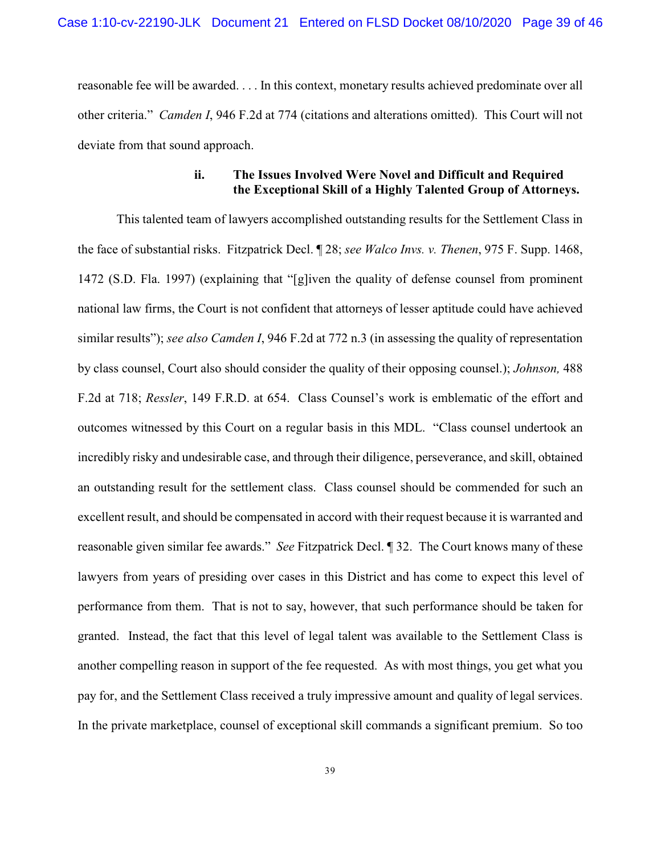reasonable fee will be awarded. . . . In this context, monetary results achieved predominate over all other criteria." *Camden I*, 946 F.2d at 774 (citations and alterations omitted). This Court will not deviate from that sound approach.

## **ii. The Issues Involved Were Novel and Difficult and Required the Exceptional Skill of a Highly Talented Group of Attorneys.**

This talented team of lawyers accomplished outstanding results for the Settlement Class in the face of substantial risks. Fitzpatrick Decl. ¶ 28; *see Walco Invs. v. Thenen*, 975 F. Supp. 1468, 1472 (S.D. Fla. 1997) (explaining that "[g]iven the quality of defense counsel from prominent national law firms, the Court is not confident that attorneys of lesser aptitude could have achieved similar results"); *see also Camden I*, 946 F.2d at 772 n.3 (in assessing the quality of representation by class counsel, Court also should consider the quality of their opposing counsel.); *Johnson,* 488 F.2d at 718; *Ressler*, 149 F.R.D. at 654. Class Counsel's work is emblematic of the effort and outcomes witnessed by this Court on a regular basis in this MDL. "Class counsel undertook an incredibly risky and undesirable case, and through their diligence, perseverance, and skill, obtained an outstanding result for the settlement class. Class counsel should be commended for such an excellent result, and should be compensated in accord with their request because it is warranted and reasonable given similar fee awards." *See* Fitzpatrick Decl. ¶ 32. The Court knows many of these lawyers from years of presiding over cases in this District and has come to expect this level of performance from them. That is not to say, however, that such performance should be taken for granted. Instead, the fact that this level of legal talent was available to the Settlement Class is another compelling reason in support of the fee requested. As with most things, you get what you pay for, and the Settlement Class received a truly impressive amount and quality of legal services. In the private marketplace, counsel of exceptional skill commands a significant premium. So too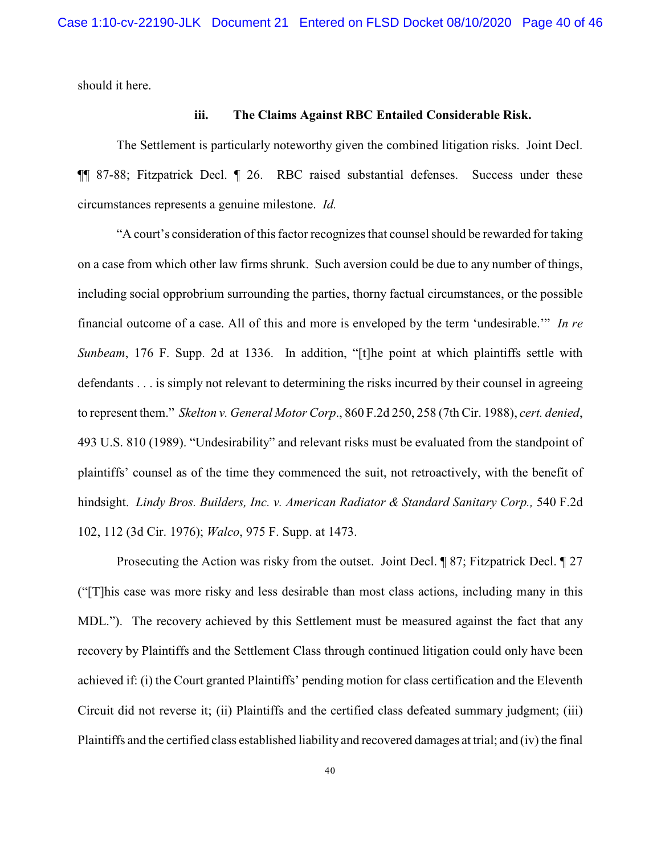should it here.

### **iii. The Claims Against RBC Entailed Considerable Risk.**

The Settlement is particularly noteworthy given the combined litigation risks. Joint Decl. ¶¶ 87-88; Fitzpatrick Decl. ¶ 26. RBC raised substantial defenses. Success under these circumstances represents a genuine milestone. *Id.*

"A court's consideration of this factor recognizes that counsel should be rewarded for taking on a case from which other law firms shrunk. Such aversion could be due to any number of things, including social opprobrium surrounding the parties, thorny factual circumstances, or the possible financial outcome of a case. All of this and more is enveloped by the term 'undesirable.'" *In re Sunbeam*, 176 F. Supp. 2d at 1336. In addition, "[t]he point at which plaintiffs settle with defendants . . . is simply not relevant to determining the risks incurred by their counsel in agreeing to represent them." *Skelton v. General Motor Corp*., 860 F.2d 250, 258 (7th Cir. 1988), *cert. denied*, 493 U.S. 810 (1989). "Undesirability" and relevant risks must be evaluated from the standpoint of plaintiffs' counsel as of the time they commenced the suit, not retroactively, with the benefit of hindsight. *Lindy Bros. Builders, Inc. v. American Radiator & Standard Sanitary Corp.,* 540 F.2d 102, 112 (3d Cir. 1976); *Walco*, 975 F. Supp. at 1473.

Prosecuting the Action was risky from the outset. Joint Decl. ¶ 87; Fitzpatrick Decl. ¶ 27 ("[T]his case was more risky and less desirable than most class actions, including many in this MDL."). The recovery achieved by this Settlement must be measured against the fact that any recovery by Plaintiffs and the Settlement Class through continued litigation could only have been achieved if: (i) the Court granted Plaintiffs' pending motion for class certification and the Eleventh Circuit did not reverse it; (ii) Plaintiffs and the certified class defeated summary judgment; (iii) Plaintiffs and the certified class established liability and recovered damages at trial; and (iv) the final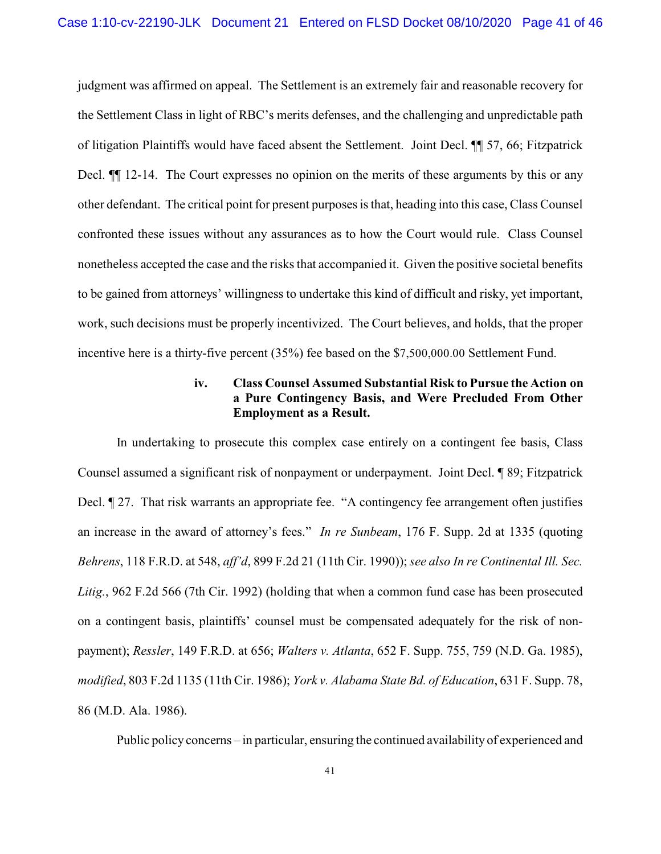judgment was affirmed on appeal. The Settlement is an extremely fair and reasonable recovery for the Settlement Class in light of RBC's merits defenses, and the challenging and unpredictable path of litigation Plaintiffs would have faced absent the Settlement. Joint Decl. ¶¶ 57, 66; Fitzpatrick Decl.  $\P$  12-14. The Court expresses no opinion on the merits of these arguments by this or any other defendant. The critical point for present purposes is that, heading into this case, Class Counsel confronted these issues without any assurances as to how the Court would rule. Class Counsel nonetheless accepted the case and the risks that accompanied it. Given the positive societal benefits to be gained from attorneys' willingness to undertake this kind of difficult and risky, yet important, work, such decisions must be properly incentivized. The Court believes, and holds, that the proper incentive here is a thirty-five percent (35%) fee based on the \$7,500,000.00 Settlement Fund.

## **iv. Class Counsel Assumed Substantial Risk to Pursue the Action on a Pure Contingency Basis, and Were Precluded From Other Employment as a Result.**

In undertaking to prosecute this complex case entirely on a contingent fee basis, Class Counsel assumed a significant risk of nonpayment or underpayment. Joint Decl. ¶ 89; Fitzpatrick Decl. 127. That risk warrants an appropriate fee. "A contingency fee arrangement often justifies an increase in the award of attorney's fees." *In re Sunbeam*, 176 F. Supp. 2d at 1335 (quoting *Behrens*, 118 F.R.D. at 548, *aff'd*, 899 F.2d 21 (11th Cir. 1990));*see also In re Continental Ill. Sec. Litig.*, 962 F.2d 566 (7th Cir. 1992) (holding that when a common fund case has been prosecuted on a contingent basis, plaintiffs' counsel must be compensated adequately for the risk of nonpayment); *Ressler*, 149 F.R.D. at 656; *Walters v. Atlanta*, 652 F. Supp. 755, 759 (N.D. Ga. 1985), *modified*, 803 F.2d 1135 (11th Cir. 1986); *York v. Alabama State Bd. of Education*, 631 F. Supp. 78, 86 (M.D. Ala. 1986).

Public policy concerns – in particular, ensuring the continued availability of experienced and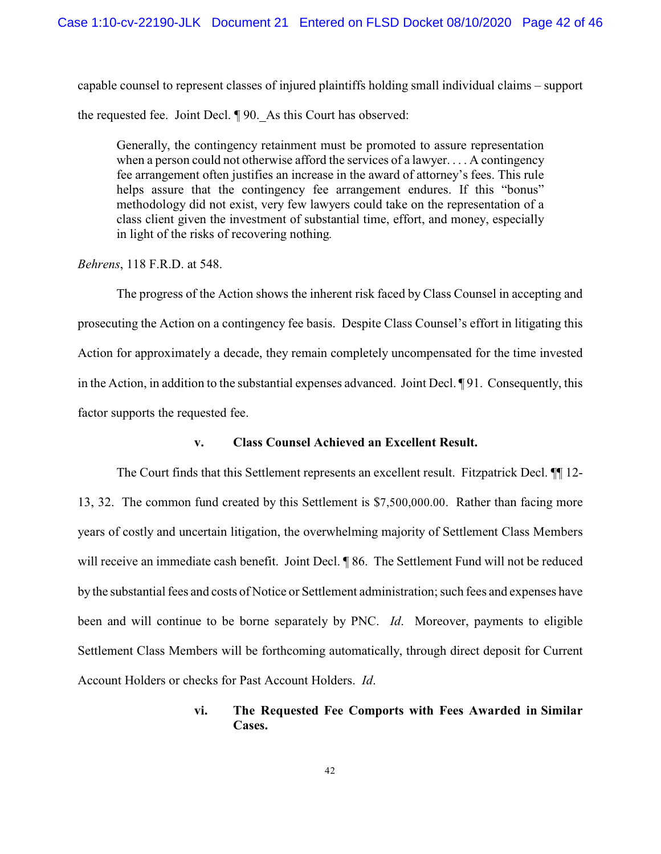capable counsel to represent classes of injured plaintiffs holding small individual claims – support the requested fee. Joint Decl. ¶ 90. As this Court has observed:

Generally, the contingency retainment must be promoted to assure representation when a person could not otherwise afford the services of a lawyer. . . . A contingency fee arrangement often justifies an increase in the award of attorney's fees. This rule helps assure that the contingency fee arrangement endures. If this "bonus" methodology did not exist, very few lawyers could take on the representation of a class client given the investment of substantial time, effort, and money, especially in light of the risks of recovering nothing*.*

*Behrens*, 118 F.R.D. at 548.

The progress of the Action shows the inherent risk faced by Class Counsel in accepting and prosecuting the Action on a contingency fee basis. Despite Class Counsel's effort in litigating this Action for approximately a decade, they remain completely uncompensated for the time invested in the Action, in addition to the substantial expenses advanced. Joint Decl. ¶ 91. Consequently, this factor supports the requested fee.

### **v. Class Counsel Achieved an Excellent Result.**

The Court finds that this Settlement represents an excellent result. Fitzpatrick Decl. ¶¶ 12- 13, 32. The common fund created by this Settlement is \$7,500,000.00. Rather than facing more years of costly and uncertain litigation, the overwhelming majority of Settlement Class Members will receive an immediate cash benefit. Joint Decl. ¶ 86. The Settlement Fund will not be reduced by the substantial fees and costs of Notice or Settlement administration; such fees and expenses have been and will continue to be borne separately by PNC. *Id*. Moreover, payments to eligible Settlement Class Members will be forthcoming automatically, through direct deposit for Current Account Holders or checks for Past Account Holders. *Id*.

## **vi. The Requested Fee Comports with Fees Awarded in Similar Cases.**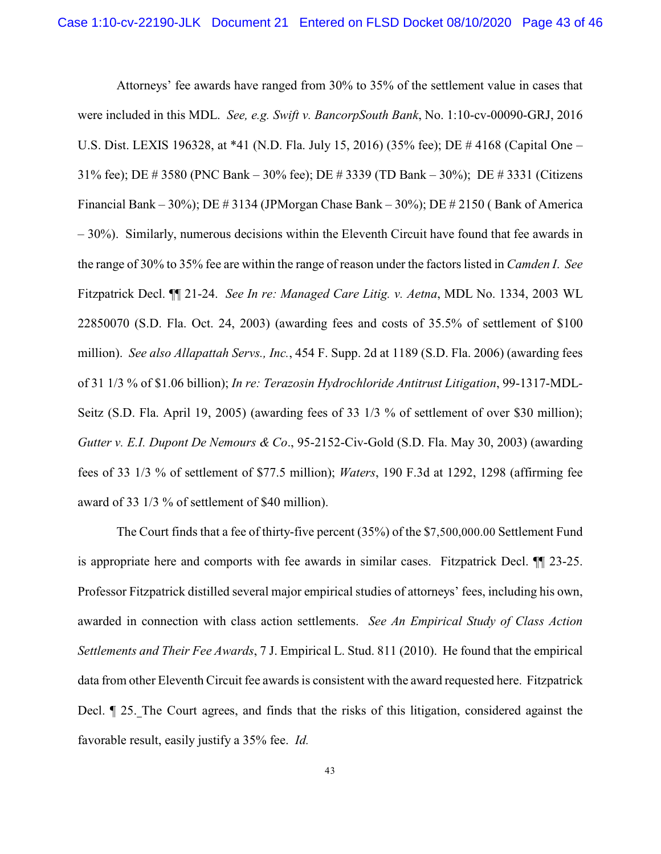Attorneys' fee awards have ranged from 30% to 35% of the settlement value in cases that were included in this MDL. *See, e.g. Swift v. BancorpSouth Bank*, No. 1:10-cv-00090-GRJ, 2016 U.S. Dist. LEXIS 196328, at \*41 (N.D. Fla. July 15, 2016) (35% fee); DE # 4168 (Capital One – 31% fee); DE # 3580 (PNC Bank – 30% fee); DE # 3339 (TD Bank – 30%); DE # 3331 (Citizens Financial Bank – 30%); DE # 3134 (JPMorgan Chase Bank – 30%); DE # 2150 ( Bank of America – 30%). Similarly, numerous decisions within the Eleventh Circuit have found that fee awards in the range of 30% to 35% fee are within the range of reason under the factors listed in *Camden I*. *See* Fitzpatrick Decl. ¶¶ 21-24. *See In re: Managed Care Litig. v. Aetna*, MDL No. 1334, 2003 WL 22850070 (S.D. Fla. Oct. 24, 2003) (awarding fees and costs of 35.5% of settlement of \$100 million). *See also Allapattah Servs., Inc.*, 454 F. Supp. 2d at 1189 (S.D. Fla. 2006) (awarding fees of 31 1/3 % of \$1.06 billion); *In re: Terazosin Hydrochloride Antitrust Litigation*, 99-1317-MDL-Seitz (S.D. Fla. April 19, 2005) (awarding fees of 33 1/3 % of settlement of over \$30 million); *Gutter v. E.I. Dupont De Nemours & Co*., 95-2152-Civ-Gold (S.D. Fla. May 30, 2003) (awarding fees of 33 1/3 % of settlement of \$77.5 million); *Waters*, 190 F.3d at 1292, 1298 (affirming fee award of 33 1/3 % of settlement of \$40 million).

The Court finds that a fee of thirty-five percent (35%) of the \$7,500,000.00 Settlement Fund is appropriate here and comports with fee awards in similar cases. Fitzpatrick Decl. ¶¶ 23-25. Professor Fitzpatrick distilled several major empirical studies of attorneys' fees, including his own, awarded in connection with class action settlements. *See An Empirical Study of Class Action Settlements and Their Fee Awards*, 7 J. Empirical L. Stud. 811 (2010). He found that the empirical data from other Eleventh Circuit fee awards is consistent with the award requested here. Fitzpatrick Decl. ¶ 25. The Court agrees, and finds that the risks of this litigation, considered against the favorable result, easily justify a 35% fee. *Id.*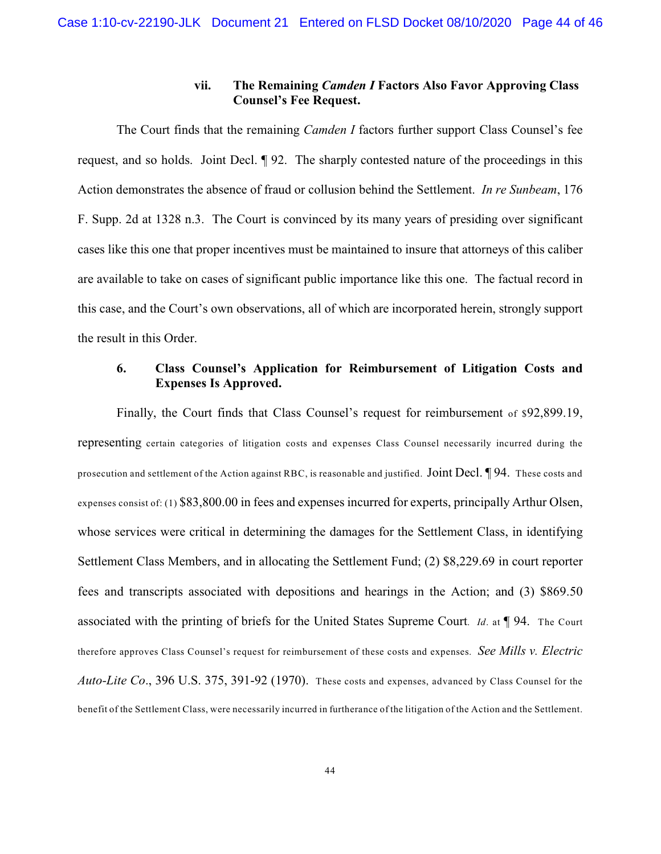### **vii. The Remaining** *Camden I* **Factors Also Favor Approving Class Counsel's Fee Request.**

The Court finds that the remaining *Camden I* factors further support Class Counsel's fee request, and so holds. Joint Decl. ¶ 92. The sharply contested nature of the proceedings in this Action demonstrates the absence of fraud or collusion behind the Settlement. *In re Sunbeam*, 176 F. Supp. 2d at 1328 n.3. The Court is convinced by its many years of presiding over significant cases like this one that proper incentives must be maintained to insure that attorneys of this caliber are available to take on cases of significant public importance like this one. The factual record in this case, and the Court's own observations, all of which are incorporated herein, strongly support the result in this Order.

# **6. Class Counsel's Application for Reimbursement of Litigation Costs and Expenses Is Approved.**

Finally, the Court finds that Class Counsel's request for reimbursement of \$92,899.19, representing certain categories of litigation costs and expenses Class Counsel necessarily incurred during the prosecution and settlement of the Action against RBC, is reasonable and justified. Joint Decl. ¶ 94. These costs and expenses consist of: (1) \$83,800.00 in fees and expenses incurred for experts, principally Arthur Olsen, whose services were critical in determining the damages for the Settlement Class, in identifying Settlement Class Members, and in allocating the Settlement Fund; (2) \$8,229.69 in court reporter fees and transcripts associated with depositions and hearings in the Action; and (3) \$869.50 associated with the printing of briefs for the United States Supreme Court. *Id*. at ¶ 94. The Court therefore approves Class Counsel's request for reimbursement of these costs and expenses. *See Mills v. Electric Auto-Lite Co*., 396 U.S. 375, 391-92 (1970). These costs and expenses, advanced by Class Counsel for the benefit of the Settlement Class, were necessarily incurred in furtherance of the litigation of the Action and the Settlement.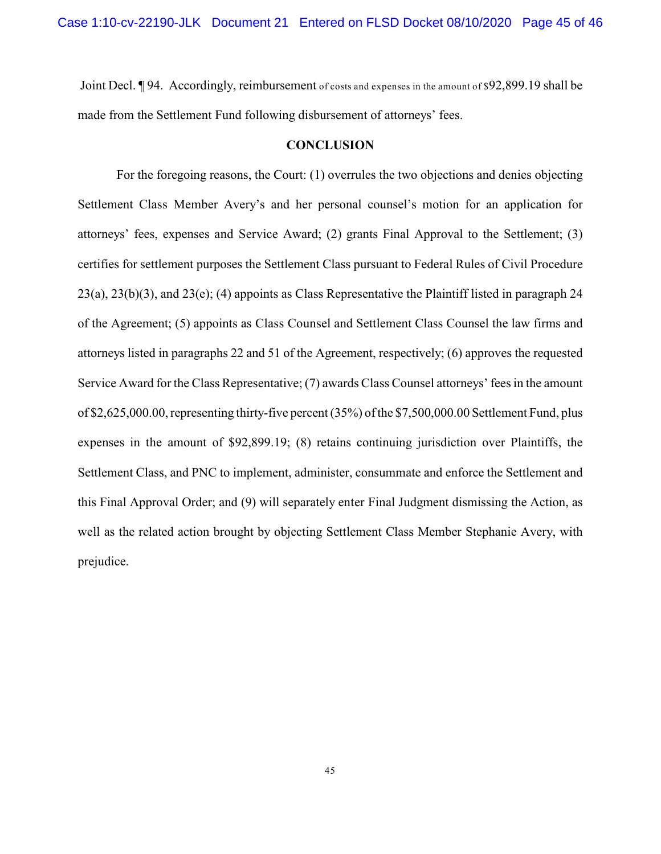Joint Decl. **[94. Accordingly, reimbursement** of costs and expenses in the amount of \$92,899.19 shall be made from the Settlement Fund following disbursement of attorneys' fees.

### **CONCLUSION**

For the foregoing reasons, the Court: (1) overrules the two objections and denies objecting Settlement Class Member Avery's and her personal counsel's motion for an application for attorneys' fees, expenses and Service Award; (2) grants Final Approval to the Settlement; (3) certifies for settlement purposes the Settlement Class pursuant to Federal Rules of Civil Procedure 23(a), 23(b)(3), and 23(e); (4) appoints as Class Representative the Plaintiff listed in paragraph 24 of the Agreement; (5) appoints as Class Counsel and Settlement Class Counsel the law firms and attorneys listed in paragraphs 22 and 51 of the Agreement, respectively; (6) approves the requested Service Award for the Class Representative; (7) awards Class Counsel attorneys' fees in the amount of \$2,625,000.00, representing thirty-five percent (35%) of the \$7,500,000.00 Settlement Fund, plus expenses in the amount of \$92,899.19; (8) retains continuing jurisdiction over Plaintiffs, the Settlement Class, and PNC to implement, administer, consummate and enforce the Settlement and this Final Approval Order; and (9) will separately enter Final Judgment dismissing the Action, as well as the related action brought by objecting Settlement Class Member Stephanie Avery, with prejudice.